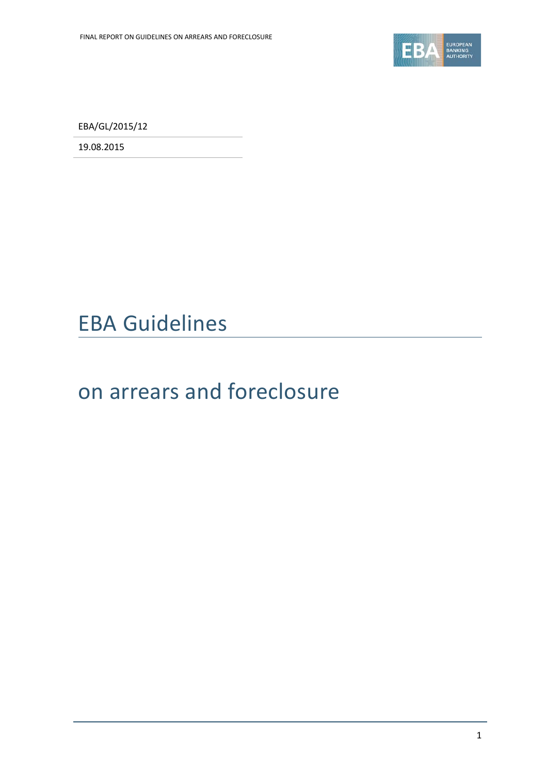

EBA/GL/2015/12

19.08.2015

# EBA Guidelines

# on arrears and foreclosure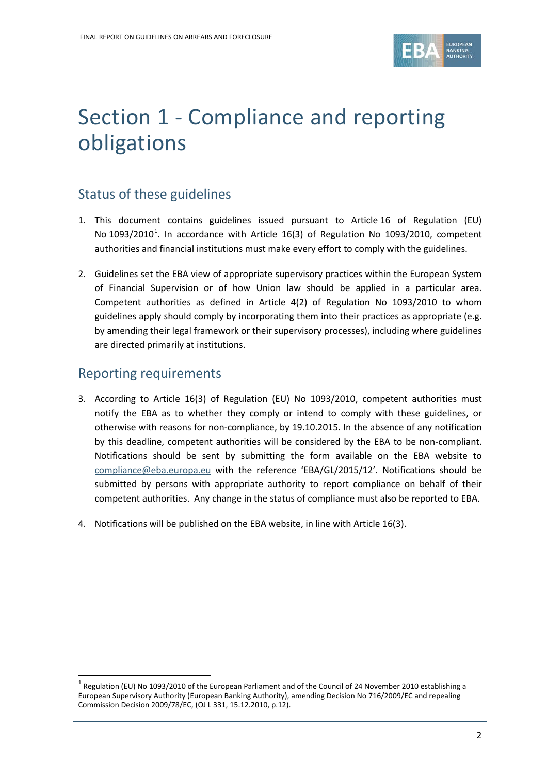

# Section 1 - Compliance and reporting obligations

## Status of these guidelines

- 1. This document contains guidelines issued pursuant to Article 16 of Regulation (EU) No [1](#page-1-0)093/2010<sup>1</sup>. In accordance with Article 16(3) of Regulation No 1093/2010, competent authorities and financial institutions must make every effort to comply with the guidelines.
- 2. Guidelines set the EBA view of appropriate supervisory practices within the European System of Financial Supervision or of how Union law should be applied in a particular area. Competent authorities as defined in Article 4(2) of Regulation No 1093/2010 to whom guidelines apply should comply by incorporating them into their practices as appropriate (e.g. by amending their legal framework or their supervisory processes), including where guidelines are directed primarily at institutions.

### Reporting requirements

 $\overline{a}$ 

- 3. According to Article 16(3) of Regulation (EU) No 1093/2010, competent authorities must notify the EBA as to whether they comply or intend to comply with these guidelines, or otherwise with reasons for non-compliance, by 19.10.2015. In the absence of any notification by this deadline, competent authorities will be considered by the EBA to be non-compliant. Notifications should be sent by submitting the form available on the EBA website to [compliance@eba.europa.eu](mailto:compliance@eba.europa.eu) with the reference 'EBA/GL/2015/12'. Notifications should be submitted by persons with appropriate authority to report compliance on behalf of their competent authorities. Any change in the status of compliance must also be reported to EBA.
- 4. Notifications will be published on the EBA website, in line with Article 16(3).

<span id="page-1-0"></span><sup>&</sup>lt;sup>1</sup> Regulation (EU) No 1093/2010 of the European Parliament and of the Council of 24 November 2010 establishing a European Supervisory Authority (European Banking Authority), amending Decision No 716/2009/EC and repealing Commission Decision 2009/78/EC, (OJ L 331, 15.12.2010, p.12).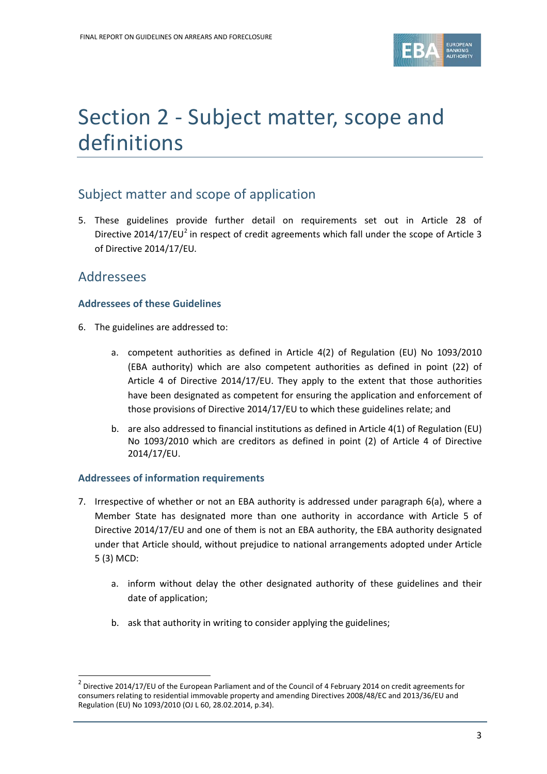

# Section 2 - Subject matter, scope and definitions

## Subject matter and scope of application

5. These guidelines provide further detail on requirements set out in Article 28 of Directive [2](#page-2-0)014/17/EU<sup>2</sup> in respect of credit agreements which fall under the scope of Article 3 of Directive 2014/17/EU*.*

### Addressees

 $\overline{a}$ 

#### **Addressees of these Guidelines**

- 6. The guidelines are addressed to:
	- a. competent authorities as defined in Article 4(2) of Regulation (EU) No 1093/2010 (EBA authority) which are also competent authorities as defined in point (22) of Article 4 of Directive 2014/17/EU. They apply to the extent that those authorities have been designated as competent for ensuring the application and enforcement of those provisions of Directive 2014/17/EU to which these guidelines relate; and
	- b. are also addressed to financial institutions as defined in Article 4(1) of Regulation (EU) No 1093/2010 which are creditors as defined in point (2) of Article 4 of Directive 2014/17/EU.

#### **Addressees of information requirements**

- 7. Irrespective of whether or not an EBA authority is addressed under paragraph 6(a), where a Member State has designated more than one authority in accordance with Article 5 of Directive 2014/17/EU and one of them is not an EBA authority, the EBA authority designated under that Article should, without prejudice to national arrangements adopted under Article 5 (3) MCD:
	- a. inform without delay the other designated authority of these guidelines and their date of application;
	- b. ask that authority in writing to consider applying the guidelines;

<span id="page-2-0"></span> $2$  Directive 2014/17/EU of the European Parliament and of the Council of 4 February 2014 on credit agreements for consumers relating to residential immovable property and amending Directives 2008/48/EC and 2013/36/EU and Regulation (EU) No 1093/2010 (OJ L 60, 28.02.2014, p.34).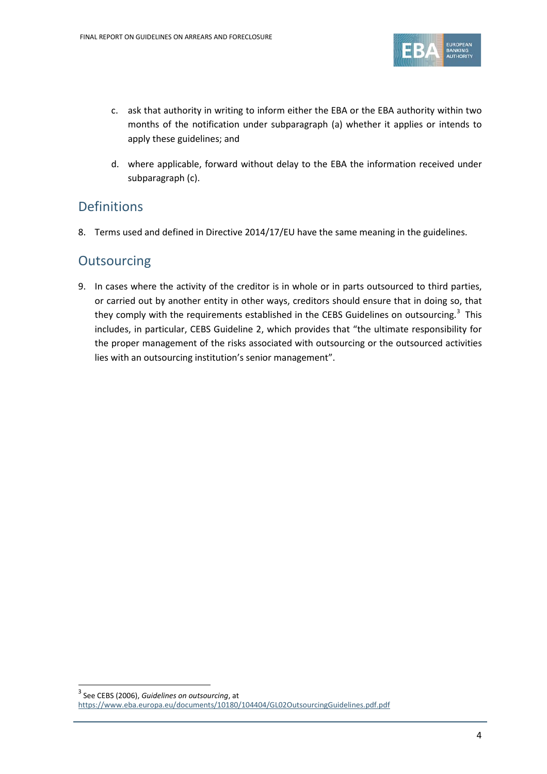

- c. ask that authority in writing to inform either the EBA or the EBA authority within two months of the notification under subparagraph (a) whether it applies or intends to apply these guidelines; and
- d. where applicable, forward without delay to the EBA the information received under subparagraph (c).

### Definitions

8. Terms used and defined in Directive 2014/17/EU have the same meaning in the guidelines.

### **Outsourcing**

9. In cases where the activity of the creditor is in whole or in parts outsourced to third parties, or carried out by another entity in other ways, creditors should ensure that in doing so, that they comply with the requirements established in the CEBS Guidelines on outsourcing.<sup>[3](#page-3-0)</sup> This includes, in particular, CEBS Guideline 2, which provides that "the ultimate responsibility for the proper management of the risks associated with outsourcing or the outsourced activities lies with an outsourcing institution's senior management".

 $\overline{a}$ 

<span id="page-3-0"></span><sup>3</sup> See CEBS (2006), *Guidelines on outsourcing*, at

<https://www.eba.europa.eu/documents/10180/104404/GL02OutsourcingGuidelines.pdf.pdf>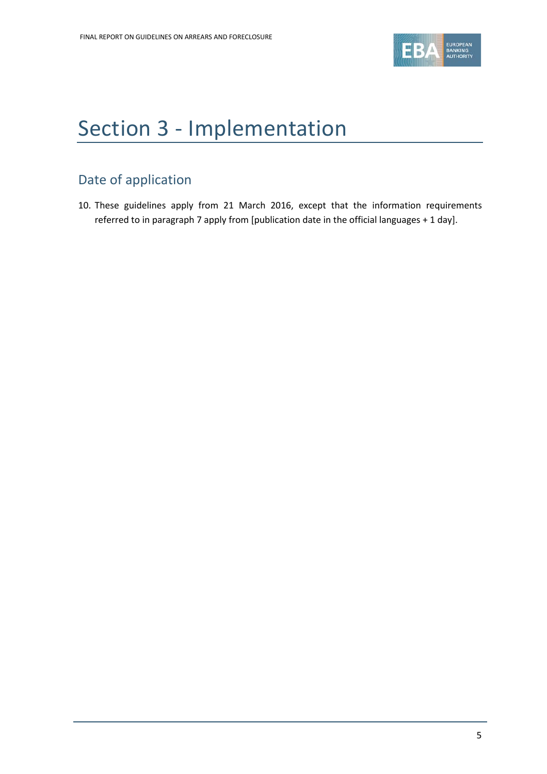

# Section 3 - Implementation

# Date of application

10. These guidelines apply from 21 March 2016, except that the information requirements referred to in paragraph 7 apply from [publication date in the official languages + 1 day].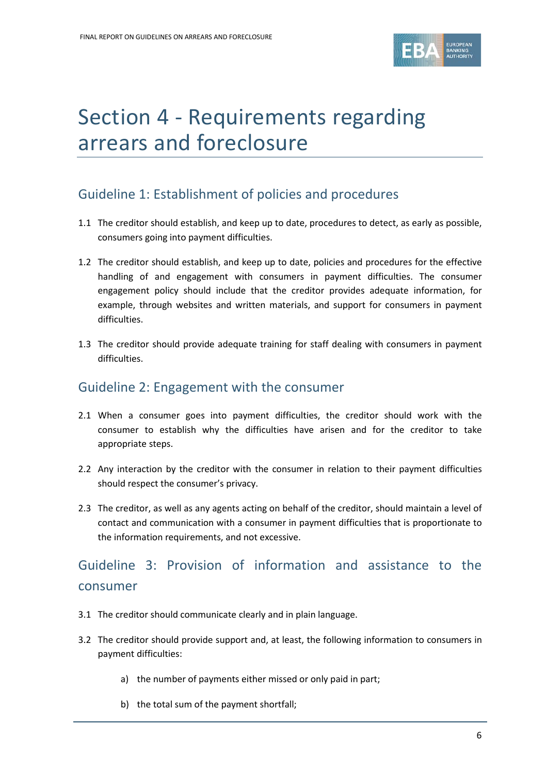

# Section 4 - Requirements regarding arrears and foreclosure

## Guideline 1: Establishment of policies and procedures

- 1.1 The creditor should establish, and keep up to date, procedures to detect, as early as possible, consumers going into payment difficulties.
- 1.2 The creditor should establish, and keep up to date, policies and procedures for the effective handling of and engagement with consumers in payment difficulties. The consumer engagement policy should include that the creditor provides adequate information, for example, through websites and written materials, and support for consumers in payment difficulties.
- 1.3 The creditor should provide adequate training for staff dealing with consumers in payment difficulties.

### Guideline 2: Engagement with the consumer

- 2.1 When a consumer goes into payment difficulties, the creditor should work with the consumer to establish why the difficulties have arisen and for the creditor to take appropriate steps.
- 2.2 Any interaction by the creditor with the consumer in relation to their payment difficulties should respect the consumer's privacy.
- 2.3 The creditor, as well as any agents acting on behalf of the creditor, should maintain a level of contact and communication with a consumer in payment difficulties that is proportionate to the information requirements, and not excessive.

# Guideline 3: Provision of information and assistance to the consumer

- 3.1 The creditor should communicate clearly and in plain language.
- 3.2 The creditor should provide support and, at least, the following information to consumers in payment difficulties:
	- a) the number of payments either missed or only paid in part;
	- b) the total sum of the payment shortfall;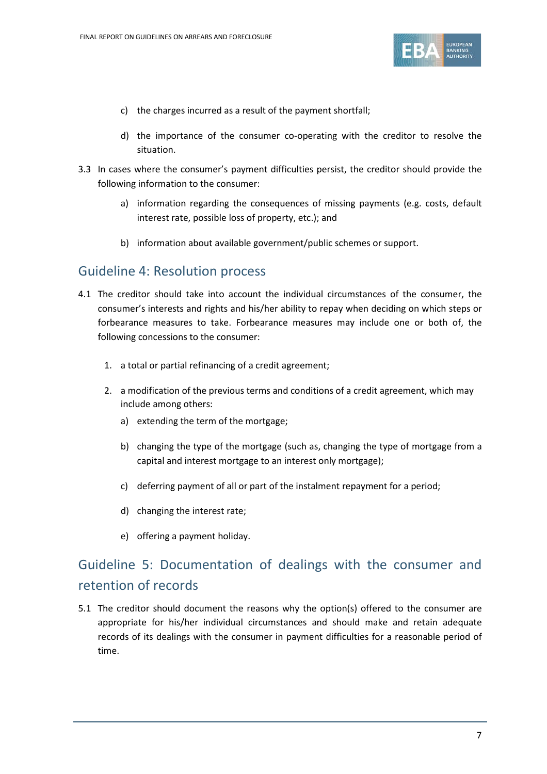

- c) the charges incurred as a result of the payment shortfall;
- d) the importance of the consumer co-operating with the creditor to resolve the situation.
- 3.3 In cases where the consumer's payment difficulties persist, the creditor should provide the following information to the consumer:
	- a) information regarding the consequences of missing payments (e.g. costs, default interest rate, possible loss of property, etc.); and
	- b) information about available government/public schemes or support.

### Guideline 4: Resolution process

- 4.1 The creditor should take into account the individual circumstances of the consumer, the consumer's interests and rights and his/her ability to repay when deciding on which steps or forbearance measures to take. Forbearance measures may include one or both of, the following concessions to the consumer:
	- 1. a total or partial refinancing of a credit agreement;
	- 2. a modification of the previous terms and conditions of a credit agreement, which may include among others:
		- a) extending the term of the mortgage;
		- b) changing the type of the mortgage (such as, changing the type of mortgage from a capital and interest mortgage to an interest only mortgage);
		- c) deferring payment of all or part of the instalment repayment for a period;
		- d) changing the interest rate;
		- e) offering a payment holiday.

# Guideline 5: Documentation of dealings with the consumer and retention of records

5.1 The creditor should document the reasons why the option(s) offered to the consumer are appropriate for his/her individual circumstances and should make and retain adequate records of its dealings with the consumer in payment difficulties for a reasonable period of time.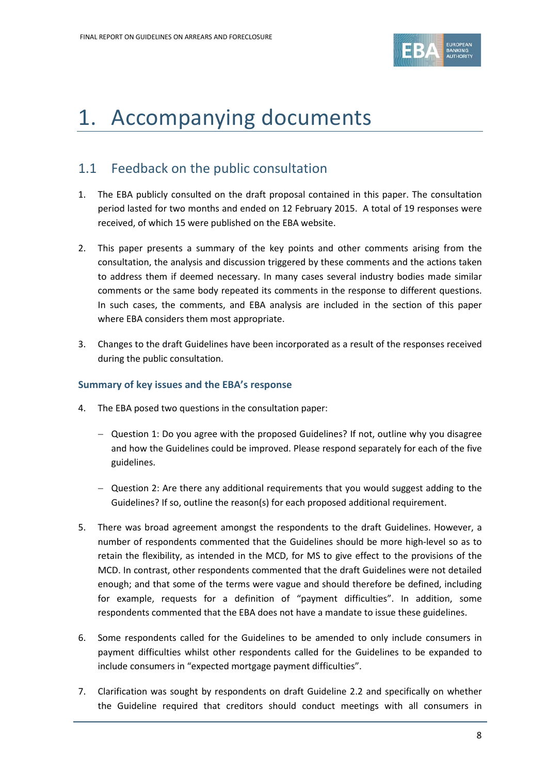

# 1. Accompanying documents

### 1.1 Feedback on the public consultation

- 1. The EBA publicly consulted on the draft proposal contained in this paper. The consultation period lasted for two months and ended on 12 February 2015. A total of 19 responses were received, of which 15 were published on the EBA website.
- 2. This paper presents a summary of the key points and other comments arising from the consultation, the analysis and discussion triggered by these comments and the actions taken to address them if deemed necessary. In many cases several industry bodies made similar comments or the same body repeated its comments in the response to different questions. In such cases, the comments, and EBA analysis are included in the section of this paper where EBA considers them most appropriate.
- 3. Changes to the draft Guidelines have been incorporated as a result of the responses received during the public consultation.

#### **Summary of key issues and the EBA's response**

- 4. The EBA posed two questions in the consultation paper:
	- − Question 1: Do you agree with the proposed Guidelines? If not, outline why you disagree and how the Guidelines could be improved. Please respond separately for each of the five guidelines.
	- − Question 2: Are there any additional requirements that you would suggest adding to the Guidelines? If so, outline the reason(s) for each proposed additional requirement.
- 5. There was broad agreement amongst the respondents to the draft Guidelines. However, a number of respondents commented that the Guidelines should be more high-level so as to retain the flexibility, as intended in the MCD, for MS to give effect to the provisions of the MCD. In contrast, other respondents commented that the draft Guidelines were not detailed enough; and that some of the terms were vague and should therefore be defined, including for example, requests for a definition of "payment difficulties". In addition, some respondents commented that the EBA does not have a mandate to issue these guidelines.
- 6. Some respondents called for the Guidelines to be amended to only include consumers in payment difficulties whilst other respondents called for the Guidelines to be expanded to include consumers in "expected mortgage payment difficulties".
- 7. Clarification was sought by respondents on draft Guideline 2.2 and specifically on whether the Guideline required that creditors should conduct meetings with all consumers in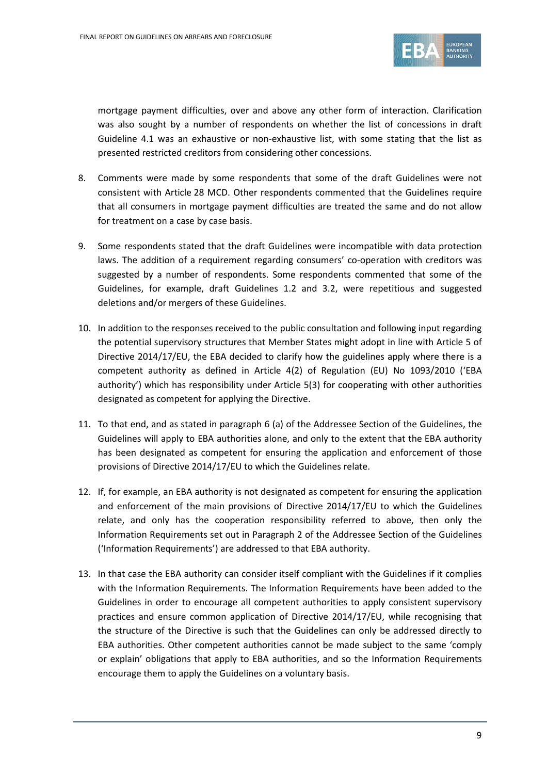

mortgage payment difficulties, over and above any other form of interaction. Clarification was also sought by a number of respondents on whether the list of concessions in draft Guideline 4.1 was an exhaustive or non-exhaustive list, with some stating that the list as presented restricted creditors from considering other concessions.

- 8. Comments were made by some respondents that some of the draft Guidelines were not consistent with Article 28 MCD. Other respondents commented that the Guidelines require that all consumers in mortgage payment difficulties are treated the same and do not allow for treatment on a case by case basis.
- 9. Some respondents stated that the draft Guidelines were incompatible with data protection laws. The addition of a requirement regarding consumers' co-operation with creditors was suggested by a number of respondents. Some respondents commented that some of the Guidelines, for example, draft Guidelines 1.2 and 3.2, were repetitious and suggested deletions and/or mergers of these Guidelines.
- 10. In addition to the responses received to the public consultation and following input regarding the potential supervisory structures that Member States might adopt in line with Article 5 of Directive 2014/17/EU, the EBA decided to clarify how the guidelines apply where there is a competent authority as defined in Article 4(2) of Regulation (EU) No 1093/2010 ('EBA authority') which has responsibility under Article 5(3) for cooperating with other authorities designated as competent for applying the Directive.
- 11. To that end, and as stated in paragraph 6 (a) of the Addressee Section of the Guidelines, the Guidelines will apply to EBA authorities alone, and only to the extent that the EBA authority has been designated as competent for ensuring the application and enforcement of those provisions of Directive 2014/17/EU to which the Guidelines relate.
- 12. If, for example, an EBA authority is not designated as competent for ensuring the application and enforcement of the main provisions of Directive 2014/17/EU to which the Guidelines relate, and only has the cooperation responsibility referred to above, then only the Information Requirements set out in Paragraph 2 of the Addressee Section of the Guidelines ('Information Requirements') are addressed to that EBA authority.
- 13. In that case the EBA authority can consider itself compliant with the Guidelines if it complies with the Information Requirements. The Information Requirements have been added to the Guidelines in order to encourage all competent authorities to apply consistent supervisory practices and ensure common application of Directive 2014/17/EU, while recognising that the structure of the Directive is such that the Guidelines can only be addressed directly to EBA authorities. Other competent authorities cannot be made subject to the same 'comply or explain' obligations that apply to EBA authorities, and so the Information Requirements encourage them to apply the Guidelines on a voluntary basis.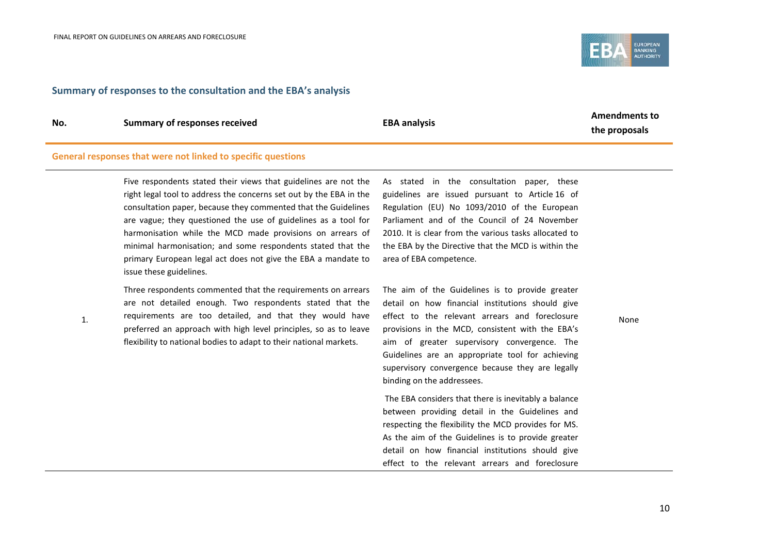

#### **Summary of responses to the consultation and the EBA's analysis**

1.

**No. Summary of responses received EBA analysis**

**Amendments to the proposals**

#### **General responses that were not linked to specific questions**

Five respondents stated their views that guidelines are not the right legal tool to address the concerns set out by the EBA in the consultation paper, because they commented that the Guidelines are vague; they questioned the use of guidelines as a tool for harmonisation while the MCD made provisions on arrears of minimal harmonisation; and some respondents stated that the primary European legal act does not give the EBA a mandate to issue these guidelines.

Three respondents commented that the requirements on arrears are not detailed enough. Two respondents stated that the requirements are too detailed, and that they would have preferred an approach with high level principles, so as to leave flexibility to national bodies to adapt to their national markets.

As stated in the consultation paper, these guidelines are issued pursuant to Article 16 of Regulation (EU) No 1093/2010 of the European Parliament and of the Council of 24 November 2010. It is clear from the various tasks allocated to the EBA by the Directive that the MCD is within the area of EBA competence.

The aim of the Guidelines is to provide greater detail on how financial institutions should give effect to the relevant arrears and foreclosure provisions in the MCD, consistent with the EBA's aim of greater supervisory convergence. The Guidelines are an appropriate tool for achieving supervisory convergence because they are legally binding on the addressees.

The EBA considers that there is inevitably a balance between providing detail in the Guidelines and respecting the flexibility the MCD provides for MS. As the aim of the Guidelines is to provide greater detail on how financial institutions should give effect to the relevant arrears and foreclosure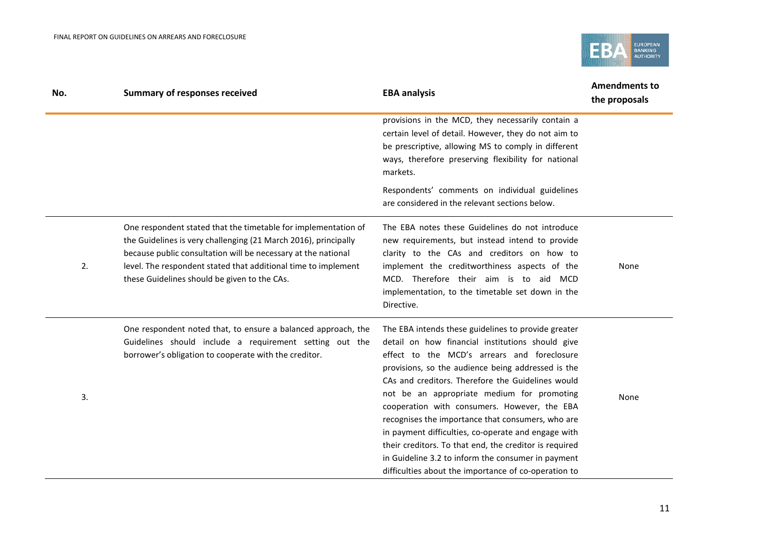

| No. | <b>Summary of responses received</b>                                                                                                                                                                                                                                                                                 | <b>EBA analysis</b>                                                                                                                                                                                                                                                                                                                                                                                                                                                                                                                                                                                                                                 | <b>Amendments to</b><br>the proposals |
|-----|----------------------------------------------------------------------------------------------------------------------------------------------------------------------------------------------------------------------------------------------------------------------------------------------------------------------|-----------------------------------------------------------------------------------------------------------------------------------------------------------------------------------------------------------------------------------------------------------------------------------------------------------------------------------------------------------------------------------------------------------------------------------------------------------------------------------------------------------------------------------------------------------------------------------------------------------------------------------------------------|---------------------------------------|
|     |                                                                                                                                                                                                                                                                                                                      | provisions in the MCD, they necessarily contain a<br>certain level of detail. However, they do not aim to<br>be prescriptive, allowing MS to comply in different<br>ways, therefore preserving flexibility for national<br>markets.                                                                                                                                                                                                                                                                                                                                                                                                                 |                                       |
|     |                                                                                                                                                                                                                                                                                                                      | Respondents' comments on individual guidelines<br>are considered in the relevant sections below.                                                                                                                                                                                                                                                                                                                                                                                                                                                                                                                                                    |                                       |
| 2.  | One respondent stated that the timetable for implementation of<br>the Guidelines is very challenging (21 March 2016), principally<br>because public consultation will be necessary at the national<br>level. The respondent stated that additional time to implement<br>these Guidelines should be given to the CAs. | The EBA notes these Guidelines do not introduce<br>new requirements, but instead intend to provide<br>clarity to the CAs and creditors on how to<br>implement the creditworthiness aspects of the<br>MCD. Therefore their aim is to aid MCD<br>implementation, to the timetable set down in the<br>Directive.                                                                                                                                                                                                                                                                                                                                       | None                                  |
| 3.  | One respondent noted that, to ensure a balanced approach, the<br>Guidelines should include a requirement setting out the<br>borrower's obligation to cooperate with the creditor.                                                                                                                                    | The EBA intends these guidelines to provide greater<br>detail on how financial institutions should give<br>effect to the MCD's arrears and foreclosure<br>provisions, so the audience being addressed is the<br>CAs and creditors. Therefore the Guidelines would<br>not be an appropriate medium for promoting<br>cooperation with consumers. However, the EBA<br>recognises the importance that consumers, who are<br>in payment difficulties, co-operate and engage with<br>their creditors. To that end, the creditor is required<br>in Guideline 3.2 to inform the consumer in payment<br>difficulties about the importance of co-operation to | None                                  |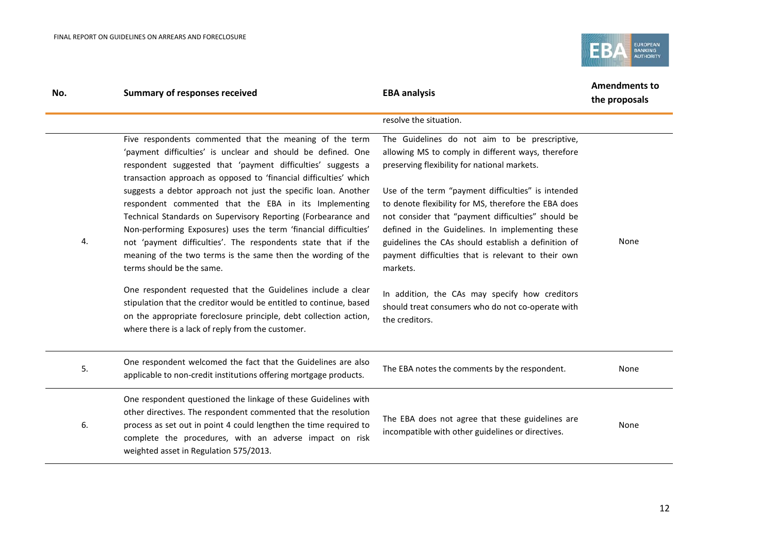

| No. | <b>Summary of responses received</b>                                                                                                                                                                                                                                                                       | <b>EBA analysis</b>                                                                                                                                                                                                  | <b>Amendments to</b><br>the proposals |
|-----|------------------------------------------------------------------------------------------------------------------------------------------------------------------------------------------------------------------------------------------------------------------------------------------------------------|----------------------------------------------------------------------------------------------------------------------------------------------------------------------------------------------------------------------|---------------------------------------|
|     |                                                                                                                                                                                                                                                                                                            | resolve the situation.                                                                                                                                                                                               |                                       |
|     | Five respondents commented that the meaning of the term<br>'payment difficulties' is unclear and should be defined. One<br>respondent suggested that 'payment difficulties' suggests a<br>transaction approach as opposed to 'financial difficulties' which                                                | The Guidelines do not aim to be prescriptive,<br>allowing MS to comply in different ways, therefore<br>preserving flexibility for national markets.                                                                  |                                       |
|     | suggests a debtor approach not just the specific loan. Another<br>respondent commented that the EBA in its Implementing<br>Technical Standards on Supervisory Reporting (Forbearance and<br>Non-performing Exposures) uses the term 'financial difficulties'                                               | Use of the term "payment difficulties" is intended<br>to denote flexibility for MS, therefore the EBA does<br>not consider that "payment difficulties" should be<br>defined in the Guidelines. In implementing these |                                       |
| 4.  | not 'payment difficulties'. The respondents state that if the<br>meaning of the two terms is the same then the wording of the<br>terms should be the same.                                                                                                                                                 | guidelines the CAs should establish a definition of<br>payment difficulties that is relevant to their own<br>markets.                                                                                                | None                                  |
|     | One respondent requested that the Guidelines include a clear<br>stipulation that the creditor would be entitled to continue, based<br>on the appropriate foreclosure principle, debt collection action,<br>where there is a lack of reply from the customer.                                               | In addition, the CAs may specify how creditors<br>should treat consumers who do not co-operate with<br>the creditors.                                                                                                |                                       |
| 5.  | One respondent welcomed the fact that the Guidelines are also<br>applicable to non-credit institutions offering mortgage products.                                                                                                                                                                         | The EBA notes the comments by the respondent.                                                                                                                                                                        | None                                  |
| 6.  | One respondent questioned the linkage of these Guidelines with<br>other directives. The respondent commented that the resolution<br>process as set out in point 4 could lengthen the time required to<br>complete the procedures, with an adverse impact on risk<br>weighted asset in Regulation 575/2013. | The EBA does not agree that these guidelines are<br>incompatible with other guidelines or directives.                                                                                                                | None                                  |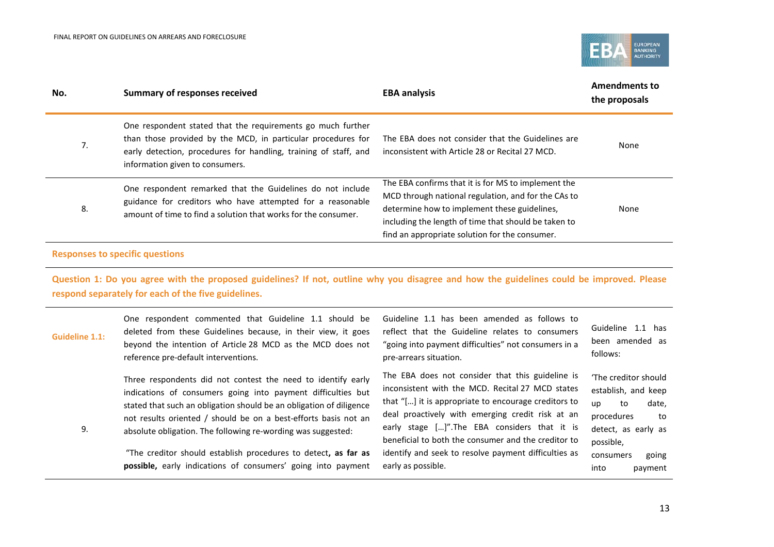

| No. | <b>Summary of responses received</b>                                                                                                                                                                                               | <b>EBA analysis</b>                                                                                                                                                                                                                                                  | <b>Amendments to</b><br>the proposals |
|-----|------------------------------------------------------------------------------------------------------------------------------------------------------------------------------------------------------------------------------------|----------------------------------------------------------------------------------------------------------------------------------------------------------------------------------------------------------------------------------------------------------------------|---------------------------------------|
| 7.  | One respondent stated that the requirements go much further<br>than those provided by the MCD, in particular procedures for<br>early detection, procedures for handling, training of staff, and<br>information given to consumers. | The EBA does not consider that the Guidelines are<br>inconsistent with Article 28 or Recital 27 MCD.                                                                                                                                                                 | None                                  |
| 8.  | One respondent remarked that the Guidelines do not include<br>guidance for creditors who have attempted for a reasonable<br>amount of time to find a solution that works for the consumer.                                         | The EBA confirms that it is for MS to implement the<br>MCD through national regulation, and for the CAs to<br>determine how to implement these guidelines,<br>including the length of time that should be taken to<br>find an appropriate solution for the consumer. | None                                  |

#### **Responses to specific questions**

**Question 1: Do you agree with the proposed guidelines? If not, outline why you disagree and how the guidelines could be improved. Please respond separately for each of the five guidelines.**

| <b>Guideline 1.1:</b> | One respondent commented that Guideline 1.1 should be<br>deleted from these Guidelines because, in their view, it goes<br>beyond the intention of Article 28 MCD as the MCD does not<br>reference pre-default interventions.                                                                                                                                                                                                                                             | Guideline 1.1 has been amended as follows to<br>reflect that the Guideline relates to consumers<br>"going into payment difficulties" not consumers in a<br>pre-arrears situation.                                                                                                                                                                                                                      | Guideline 1.1 has<br>been amended as<br>follows:                                                                                                                  |
|-----------------------|--------------------------------------------------------------------------------------------------------------------------------------------------------------------------------------------------------------------------------------------------------------------------------------------------------------------------------------------------------------------------------------------------------------------------------------------------------------------------|--------------------------------------------------------------------------------------------------------------------------------------------------------------------------------------------------------------------------------------------------------------------------------------------------------------------------------------------------------------------------------------------------------|-------------------------------------------------------------------------------------------------------------------------------------------------------------------|
| 9.                    | Three respondents did not contest the need to identify early<br>indications of consumers going into payment difficulties but<br>stated that such an obligation should be an obligation of diligence<br>not results oriented / should be on a best-efforts basis not an<br>absolute obligation. The following re-wording was suggested:<br>"The creditor should establish procedures to detect, as far as<br>possible, early indications of consumers' going into payment | The EBA does not consider that this guideline is<br>inconsistent with the MCD. Recital 27 MCD states<br>that "[] it is appropriate to encourage creditors to<br>deal proactively with emerging credit risk at an<br>early stage []". The EBA considers that it is<br>beneficial to both the consumer and the creditor to<br>identify and seek to resolve payment difficulties as<br>early as possible. | 'The creditor should<br>establish, and keep<br>date,<br>to<br>up<br>procedures<br>to<br>detect, as early as<br>possible,<br>going<br>consumers<br>into<br>payment |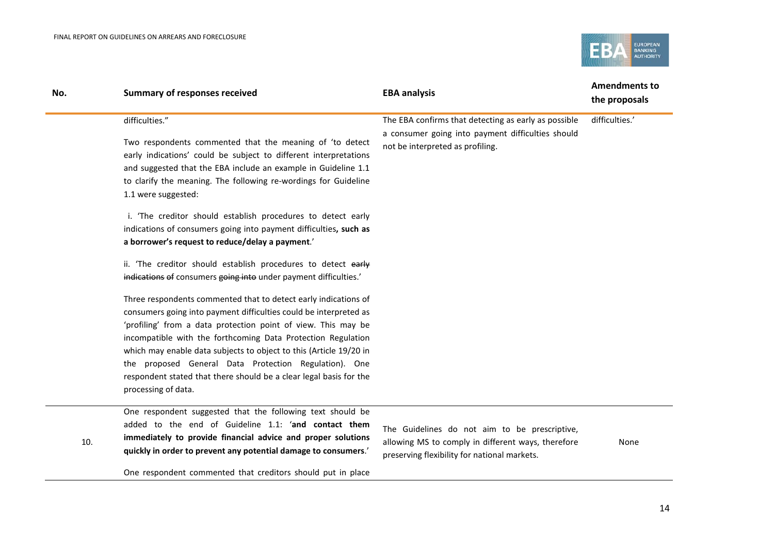

| No. | <b>Summary of responses received</b>                                                                                                                                                                                                                                                                                                                                                                                                                                                              | <b>EBA analysis</b>                                                                                                                                | <b>Amendments to</b><br>the proposals |
|-----|---------------------------------------------------------------------------------------------------------------------------------------------------------------------------------------------------------------------------------------------------------------------------------------------------------------------------------------------------------------------------------------------------------------------------------------------------------------------------------------------------|----------------------------------------------------------------------------------------------------------------------------------------------------|---------------------------------------|
|     | difficulties."<br>Two respondents commented that the meaning of 'to detect<br>early indications' could be subject to different interpretations<br>and suggested that the EBA include an example in Guideline 1.1<br>to clarify the meaning. The following re-wordings for Guideline<br>1.1 were suggested:                                                                                                                                                                                        | The EBA confirms that detecting as early as possible<br>a consumer going into payment difficulties should<br>not be interpreted as profiling.      | difficulties.'                        |
|     | i. 'The creditor should establish procedures to detect early<br>indications of consumers going into payment difficulties, such as<br>a borrower's request to reduce/delay a payment.'                                                                                                                                                                                                                                                                                                             |                                                                                                                                                    |                                       |
|     | ii. 'The creditor should establish procedures to detect early<br>indications of consumers going into under payment difficulties.'                                                                                                                                                                                                                                                                                                                                                                 |                                                                                                                                                    |                                       |
|     | Three respondents commented that to detect early indications of<br>consumers going into payment difficulties could be interpreted as<br>'profiling' from a data protection point of view. This may be<br>incompatible with the forthcoming Data Protection Regulation<br>which may enable data subjects to object to this (Article 19/20 in<br>the proposed General Data Protection Regulation). One<br>respondent stated that there should be a clear legal basis for the<br>processing of data. |                                                                                                                                                    |                                       |
| 10. | One respondent suggested that the following text should be<br>added to the end of Guideline 1.1: 'and contact them<br>immediately to provide financial advice and proper solutions<br>quickly in order to prevent any potential damage to consumers.'                                                                                                                                                                                                                                             | The Guidelines do not aim to be prescriptive,<br>allowing MS to comply in different ways, therefore<br>processing flexibility for pational markets | None                                  |

preserving flexibility for national markets.

One respondent commented that creditors should put in place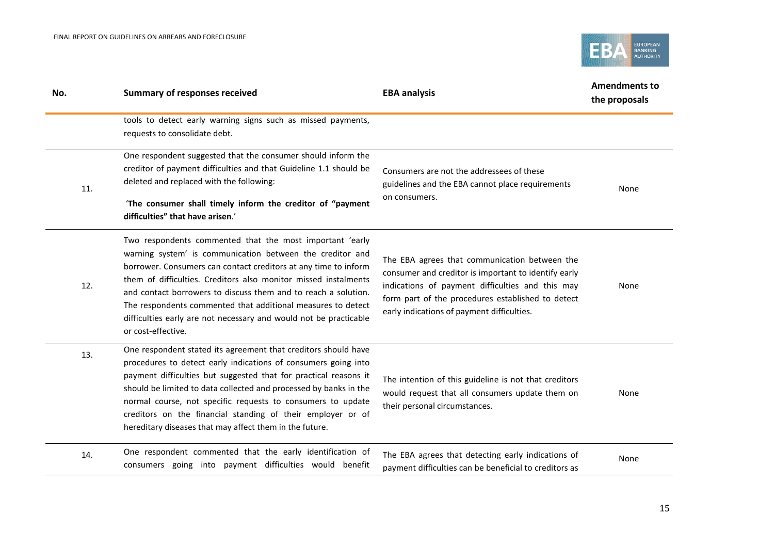

| No. | <b>Summary of responses received</b>                                                                                                                                                                                                                                                                                                                                                                                                                                                     | <b>EBA analysis</b>                                                                                                                                                                                                                                          | <b>Amendments to</b><br>the proposals |
|-----|------------------------------------------------------------------------------------------------------------------------------------------------------------------------------------------------------------------------------------------------------------------------------------------------------------------------------------------------------------------------------------------------------------------------------------------------------------------------------------------|--------------------------------------------------------------------------------------------------------------------------------------------------------------------------------------------------------------------------------------------------------------|---------------------------------------|
|     | tools to detect early warning signs such as missed payments,<br>requests to consolidate debt.                                                                                                                                                                                                                                                                                                                                                                                            |                                                                                                                                                                                                                                                              |                                       |
| 11. | One respondent suggested that the consumer should inform the<br>creditor of payment difficulties and that Guideline 1.1 should be<br>deleted and replaced with the following:<br>'The consumer shall timely inform the creditor of "payment<br>difficulties" that have arisen.'                                                                                                                                                                                                          | Consumers are not the addressees of these<br>guidelines and the EBA cannot place requirements<br>on consumers.                                                                                                                                               | None                                  |
| 12. | Two respondents commented that the most important 'early<br>warning system' is communication between the creditor and<br>borrower. Consumers can contact creditors at any time to inform<br>them of difficulties. Creditors also monitor missed instalments<br>and contact borrowers to discuss them and to reach a solution.<br>The respondents commented that additional measures to detect<br>difficulties early are not necessary and would not be practicable<br>or cost-effective. | The EBA agrees that communication between the<br>consumer and creditor is important to identify early<br>indications of payment difficulties and this may<br>form part of the procedures established to detect<br>early indications of payment difficulties. | None                                  |
| 13. | One respondent stated its agreement that creditors should have<br>procedures to detect early indications of consumers going into<br>payment difficulties but suggested that for practical reasons it<br>should be limited to data collected and processed by banks in the<br>normal course, not specific requests to consumers to update<br>creditors on the financial standing of their employer or of<br>hereditary diseases that may affect them in the future.                       | The intention of this guideline is not that creditors<br>would request that all consumers update them on<br>their personal circumstances.                                                                                                                    | None                                  |
| 14. | One respondent commented that the early identification of<br>consumers going into payment difficulties would benefit                                                                                                                                                                                                                                                                                                                                                                     | The EBA agrees that detecting early indications of<br>payment difficulties can be beneficial to creditors as                                                                                                                                                 | None                                  |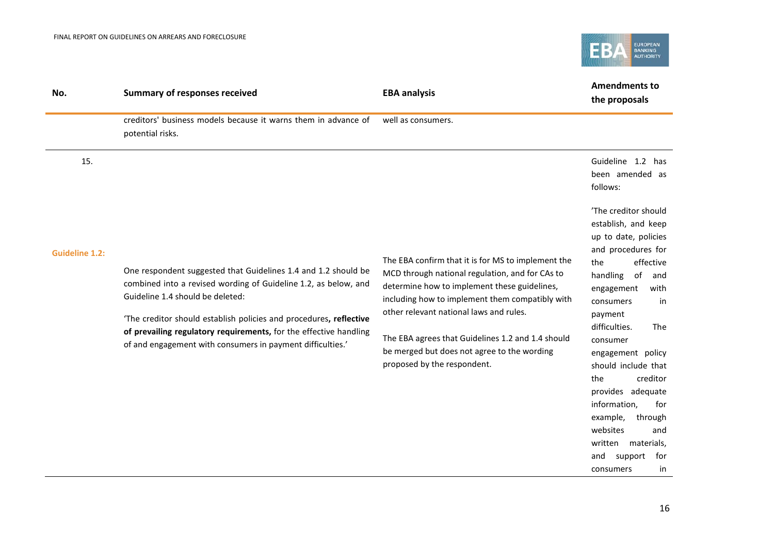

| No.                   | <b>Summary of responses received</b>                                                                                                                                                                                                                                                                                                                                           | <b>EBA analysis</b>                                                                                                                                                                                                                                                                                                                                                                    | <b>Amendments to</b><br>the proposals                                                                                                                                                                                                                                                                                                                                                                                                                           |
|-----------------------|--------------------------------------------------------------------------------------------------------------------------------------------------------------------------------------------------------------------------------------------------------------------------------------------------------------------------------------------------------------------------------|----------------------------------------------------------------------------------------------------------------------------------------------------------------------------------------------------------------------------------------------------------------------------------------------------------------------------------------------------------------------------------------|-----------------------------------------------------------------------------------------------------------------------------------------------------------------------------------------------------------------------------------------------------------------------------------------------------------------------------------------------------------------------------------------------------------------------------------------------------------------|
|                       | creditors' business models because it warns them in advance of<br>potential risks.                                                                                                                                                                                                                                                                                             | well as consumers.                                                                                                                                                                                                                                                                                                                                                                     |                                                                                                                                                                                                                                                                                                                                                                                                                                                                 |
| 15.                   |                                                                                                                                                                                                                                                                                                                                                                                |                                                                                                                                                                                                                                                                                                                                                                                        | Guideline 1.2 has<br>been amended as<br>follows:                                                                                                                                                                                                                                                                                                                                                                                                                |
| <b>Guideline 1.2:</b> | One respondent suggested that Guidelines 1.4 and 1.2 should be<br>combined into a revised wording of Guideline 1.2, as below, and<br>Guideline 1.4 should be deleted:<br>'The creditor should establish policies and procedures, reflective<br>of prevailing regulatory requirements, for the effective handling<br>of and engagement with consumers in payment difficulties.' | The EBA confirm that it is for MS to implement the<br>MCD through national regulation, and for CAs to<br>determine how to implement these guidelines,<br>including how to implement them compatibly with<br>other relevant national laws and rules.<br>The EBA agrees that Guidelines 1.2 and 1.4 should<br>be merged but does not agree to the wording<br>proposed by the respondent. | 'The creditor should<br>establish, and keep<br>up to date, policies<br>and procedures for<br>effective<br>the<br>handling<br>of<br>and<br>with<br>engagement<br>consumers<br>in<br>payment<br>difficulties.<br><b>The</b><br>consumer<br>engagement policy<br>should include that<br>creditor<br>the<br>provides adequate<br>information,<br>for<br>example,<br>through<br>websites<br>and<br>written<br>materials,<br>and<br>support<br>for<br>consumers<br>in |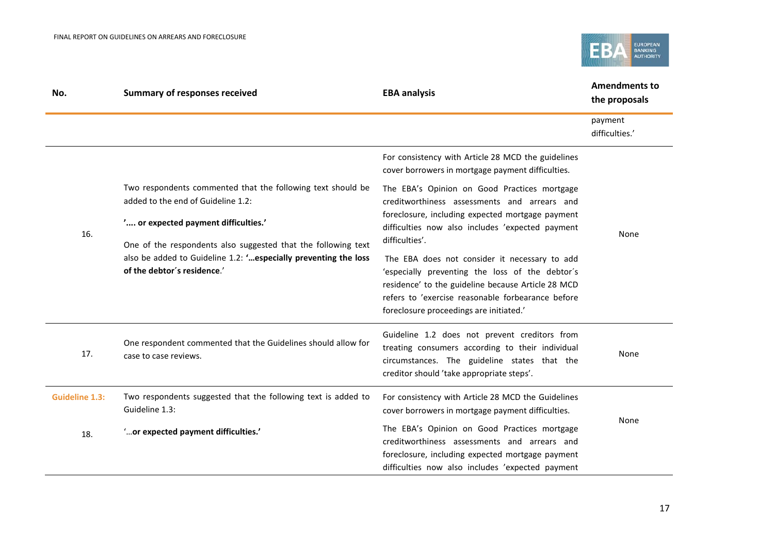

| No.                   | <b>Summary of responses received</b>                                                                                                                             | <b>EBA analysis</b>                                                                                                                                                                                                                                    | <b>Amendments to</b><br>the proposals |
|-----------------------|------------------------------------------------------------------------------------------------------------------------------------------------------------------|--------------------------------------------------------------------------------------------------------------------------------------------------------------------------------------------------------------------------------------------------------|---------------------------------------|
|                       |                                                                                                                                                                  |                                                                                                                                                                                                                                                        | payment<br>difficulties.'             |
|                       |                                                                                                                                                                  | For consistency with Article 28 MCD the guidelines<br>cover borrowers in mortgage payment difficulties.                                                                                                                                                |                                       |
|                       | Two respondents commented that the following text should be<br>added to the end of Guideline 1.2:                                                                | The EBA's Opinion on Good Practices mortgage<br>creditworthiness assessments and arrears and                                                                                                                                                           |                                       |
| 16.                   | ' or expected payment difficulties.'                                                                                                                             | foreclosure, including expected mortgage payment<br>difficulties now also includes 'expected payment<br>difficulties'.                                                                                                                                 | None                                  |
|                       | One of the respondents also suggested that the following text<br>also be added to Guideline 1.2: ' especially preventing the loss<br>of the debtor's residence.' | The EBA does not consider it necessary to add<br>'especially preventing the loss of the debtor's<br>residence' to the guideline because Article 28 MCD<br>refers to 'exercise reasonable forbearance before<br>foreclosure proceedings are initiated.' |                                       |
| 17.                   | One respondent commented that the Guidelines should allow for<br>case to case reviews.                                                                           | Guideline 1.2 does not prevent creditors from<br>treating consumers according to their individual<br>circumstances. The guideline states that the<br>creditor should 'take appropriate steps'.                                                         | None                                  |
| <b>Guideline 1.3:</b> | Two respondents suggested that the following text is added to<br>Guideline 1.3:                                                                                  | For consistency with Article 28 MCD the Guidelines<br>cover borrowers in mortgage payment difficulties.                                                                                                                                                |                                       |
| 18.                   | " or expected payment difficulties."                                                                                                                             | The EBA's Opinion on Good Practices mortgage<br>creditworthiness assessments and arrears and<br>foreclosure, including expected mortgage payment<br>difficulties now also includes 'expected payment                                                   | None                                  |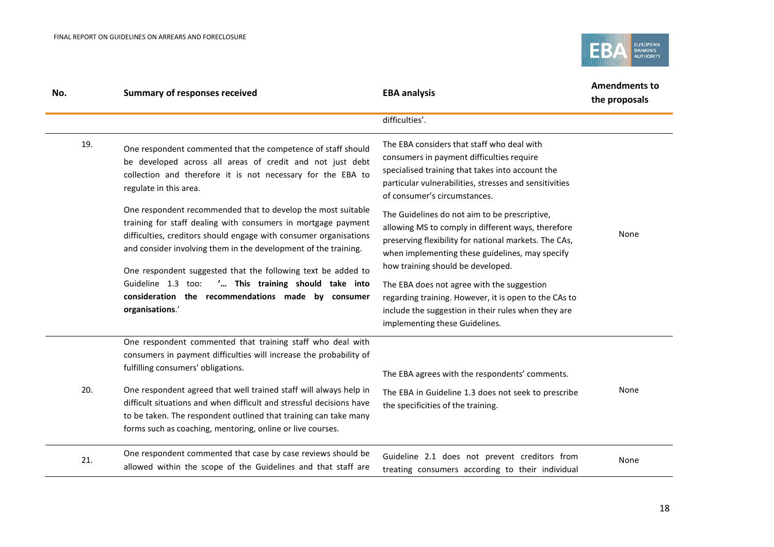

| No. | <b>Summary of responses received</b>                                                                                                                                                                                                                                                                                                                                                                                                                                     | <b>EBA analysis</b>                                                                                                                                                                                                                                  | <b>Amendments to</b><br>the proposals |
|-----|--------------------------------------------------------------------------------------------------------------------------------------------------------------------------------------------------------------------------------------------------------------------------------------------------------------------------------------------------------------------------------------------------------------------------------------------------------------------------|------------------------------------------------------------------------------------------------------------------------------------------------------------------------------------------------------------------------------------------------------|---------------------------------------|
|     |                                                                                                                                                                                                                                                                                                                                                                                                                                                                          | difficulties'.                                                                                                                                                                                                                                       |                                       |
| 19. | One respondent commented that the competence of staff should<br>be developed across all areas of credit and not just debt<br>collection and therefore it is not necessary for the EBA to<br>regulate in this area.                                                                                                                                                                                                                                                       | The EBA considers that staff who deal with<br>consumers in payment difficulties require<br>specialised training that takes into account the<br>particular vulnerabilities, stresses and sensitivities<br>of consumer's circumstances.                |                                       |
|     | One respondent recommended that to develop the most suitable<br>training for staff dealing with consumers in mortgage payment<br>difficulties, creditors should engage with consumer organisations<br>and consider involving them in the development of the training.<br>One respondent suggested that the following text be added to<br>' This training should take into<br>Guideline 1.3 too:<br>consideration the recommendations made by consumer<br>organisations.' | The Guidelines do not aim to be prescriptive,<br>allowing MS to comply in different ways, therefore<br>preserving flexibility for national markets. The CAs,<br>when implementing these guidelines, may specify<br>how training should be developed. | None                                  |
|     |                                                                                                                                                                                                                                                                                                                                                                                                                                                                          | The EBA does not agree with the suggestion<br>regarding training. However, it is open to the CAs to<br>include the suggestion in their rules when they are<br>implementing these Guidelines.                                                         |                                       |
|     | One respondent commented that training staff who deal with<br>consumers in payment difficulties will increase the probability of<br>fulfilling consumers' obligations.                                                                                                                                                                                                                                                                                                   | The EBA agrees with the respondents' comments.                                                                                                                                                                                                       |                                       |
| 20. | One respondent agreed that well trained staff will always help in<br>difficult situations and when difficult and stressful decisions have<br>to be taken. The respondent outlined that training can take many<br>forms such as coaching, mentoring, online or live courses.                                                                                                                                                                                              | The EBA in Guideline 1.3 does not seek to prescribe<br>the specificities of the training.                                                                                                                                                            | None                                  |
| 21. | One respondent commented that case by case reviews should be<br>allowed within the scope of the Guidelines and that staff are                                                                                                                                                                                                                                                                                                                                            | Guideline 2.1 does not prevent creditors from<br>treating consumers according to their individual                                                                                                                                                    | None                                  |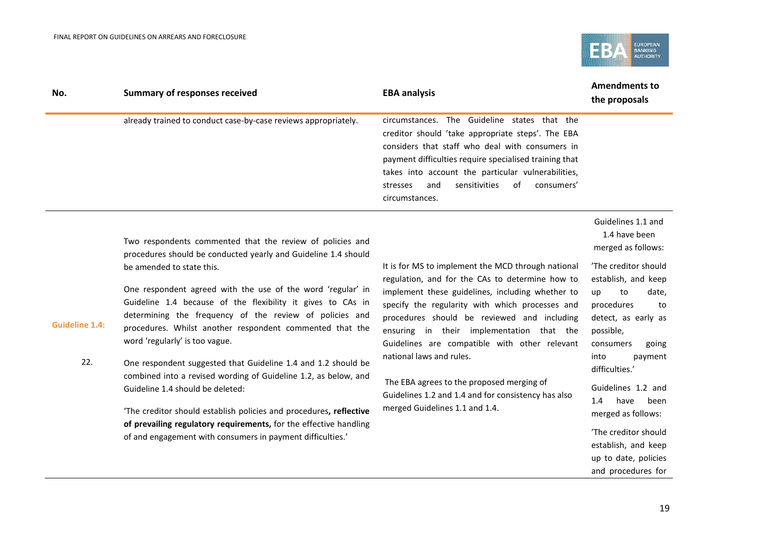**Guideline 1.4:**



| No. | <b>Summary of responses received</b>                           | <b>EBA analysis</b>                                                                                                                                                                                                                                                                                                                            | <b>Amendments to</b><br>the proposals |
|-----|----------------------------------------------------------------|------------------------------------------------------------------------------------------------------------------------------------------------------------------------------------------------------------------------------------------------------------------------------------------------------------------------------------------------|---------------------------------------|
|     | already trained to conduct case-by-case reviews appropriately. | circumstances. The Guideline states that the<br>creditor should 'take appropriate steps'. The EBA<br>considers that staff who deal with consumers in<br>payment difficulties require specialised training that<br>takes into account the particular vulnerabilities,<br>sensitivities<br>of<br>consumers'<br>and<br>stresses<br>circumstances. |                                       |
|     |                                                                |                                                                                                                                                                                                                                                                                                                                                | Guidelines 1.1 and                    |

Two respondents commented that the review of policies and procedures should be conducted yearly and Guideline 1.4 should be amended to state this.

One respondent agreed with the use of the word 'regular' in Guideline 1.4 because of the flexibility it gives to CAs in determining the frequency of the review of policies and procedures. Whilst another respondent commented that the word 'regularly' is too vague.

22. One respondent suggested that Guideline 1.4 and 1.2 should be combined into a revised wording of Guideline 1.2, as below, and Guideline 1.4 should be deleted:

> 'The creditor should establish policies and procedures**, reflective of prevailing regulatory requirements,** for the effective handling of and engagement with consumers in payment difficulties.'

It is for MS to implement the MCD through national regulation, and for the CAs to determine how to implement these guidelines, including whether to specify the regularity with which processes and procedures should be reviewed and including ensuring in their implementation that the Guidelines are compatible with other relevant national laws and rules.

The EBA agrees to the proposed merging of Guidelines 1.2 and 1.4 and for consistency has also merged Guidelines 1.1 and 1.4.

1.4 have been merged as follows:

'The creditor should establish, and keep up to date, procedures to detect, as early as possible, consumers going into payment

Guidelines 1.2 and 1.4 have been merged as follows:

difficulties.'

'The creditor should establish, and keep up to date, policies and procedures for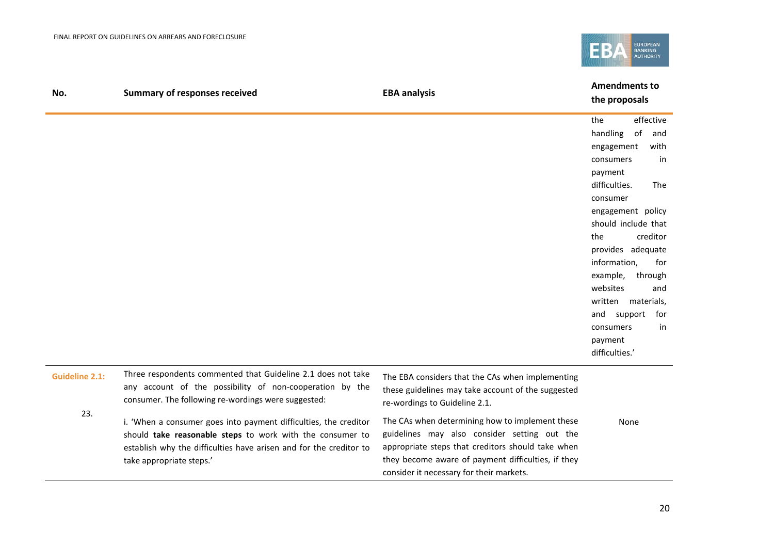

| No.                   | <b>Summary of responses received</b>                                                                                                                                                                                            | <b>EBA analysis</b>                                                                                                                                                                                                                                    | <b>Amendments to</b><br>the proposals                                                                                                                                                                                                                                                                                                                                                 |
|-----------------------|---------------------------------------------------------------------------------------------------------------------------------------------------------------------------------------------------------------------------------|--------------------------------------------------------------------------------------------------------------------------------------------------------------------------------------------------------------------------------------------------------|---------------------------------------------------------------------------------------------------------------------------------------------------------------------------------------------------------------------------------------------------------------------------------------------------------------------------------------------------------------------------------------|
|                       |                                                                                                                                                                                                                                 |                                                                                                                                                                                                                                                        | effective<br>the<br>handling<br>of<br>and<br>with<br>engagement<br>consumers<br>in<br>payment<br>difficulties.<br>The<br>consumer<br>engagement policy<br>should include that<br>creditor<br>the<br>provides adequate<br>information,<br>for<br>example,<br>through<br>websites<br>and<br>written materials,<br>support<br>and<br>for<br>consumers<br>in<br>payment<br>difficulties.' |
| <b>Guideline 2.1:</b> | Three respondents commented that Guideline 2.1 does not take<br>any account of the possibility of non-cooperation by the<br>consumer. The following re-wordings were suggested:                                                 | The EBA considers that the CAs when implementing<br>these guidelines may take account of the suggested<br>re-wordings to Guideline 2.1.                                                                                                                |                                                                                                                                                                                                                                                                                                                                                                                       |
| 23.                   | i. 'When a consumer goes into payment difficulties, the creditor<br>should take reasonable steps to work with the consumer to<br>establish why the difficulties have arisen and for the creditor to<br>take appropriate steps.' | The CAs when determining how to implement these<br>guidelines may also consider setting out the<br>appropriate steps that creditors should take when<br>they become aware of payment difficulties, if they<br>consider it necessary for their markets. | None                                                                                                                                                                                                                                                                                                                                                                                  |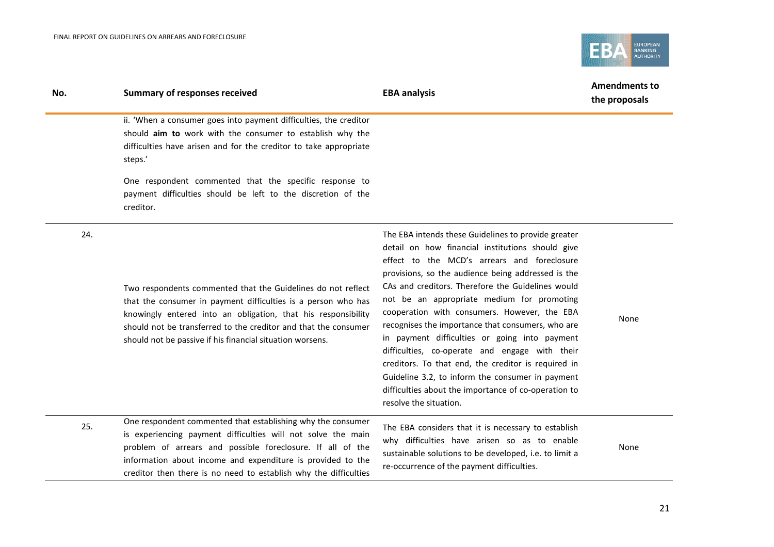

| No. | <b>Summary of responses received</b>                                                                                                                                                                                                                                                                                           | <b>EBA analysis</b>                                                                                                                                                                                                                                                                                                                                                                                                                                                                                                                                                                                                                                                                                                  | <b>Amendments to</b><br>the proposals |
|-----|--------------------------------------------------------------------------------------------------------------------------------------------------------------------------------------------------------------------------------------------------------------------------------------------------------------------------------|----------------------------------------------------------------------------------------------------------------------------------------------------------------------------------------------------------------------------------------------------------------------------------------------------------------------------------------------------------------------------------------------------------------------------------------------------------------------------------------------------------------------------------------------------------------------------------------------------------------------------------------------------------------------------------------------------------------------|---------------------------------------|
|     | ii. 'When a consumer goes into payment difficulties, the creditor<br>should aim to work with the consumer to establish why the<br>difficulties have arisen and for the creditor to take appropriate<br>steps.'                                                                                                                 |                                                                                                                                                                                                                                                                                                                                                                                                                                                                                                                                                                                                                                                                                                                      |                                       |
|     | One respondent commented that the specific response to<br>payment difficulties should be left to the discretion of the<br>creditor.                                                                                                                                                                                            |                                                                                                                                                                                                                                                                                                                                                                                                                                                                                                                                                                                                                                                                                                                      |                                       |
| 24. | Two respondents commented that the Guidelines do not reflect<br>that the consumer in payment difficulties is a person who has<br>knowingly entered into an obligation, that his responsibility<br>should not be transferred to the creditor and that the consumer<br>should not be passive if his financial situation worsens. | The EBA intends these Guidelines to provide greater<br>detail on how financial institutions should give<br>effect to the MCD's arrears and foreclosure<br>provisions, so the audience being addressed is the<br>CAs and creditors. Therefore the Guidelines would<br>not be an appropriate medium for promoting<br>cooperation with consumers. However, the EBA<br>recognises the importance that consumers, who are<br>in payment difficulties or going into payment<br>difficulties, co-operate and engage with their<br>creditors. To that end, the creditor is required in<br>Guideline 3.2, to inform the consumer in payment<br>difficulties about the importance of co-operation to<br>resolve the situation. | None                                  |
| 25. | One respondent commented that establishing why the consumer<br>is experiencing payment difficulties will not solve the main<br>problem of arrears and possible foreclosure. If all of the<br>information about income and expenditure is provided to the<br>creditor then there is no need to establish why the difficulties   | The EBA considers that it is necessary to establish<br>why difficulties have arisen so as to enable<br>sustainable solutions to be developed, i.e. to limit a<br>re-occurrence of the payment difficulties.                                                                                                                                                                                                                                                                                                                                                                                                                                                                                                          | None                                  |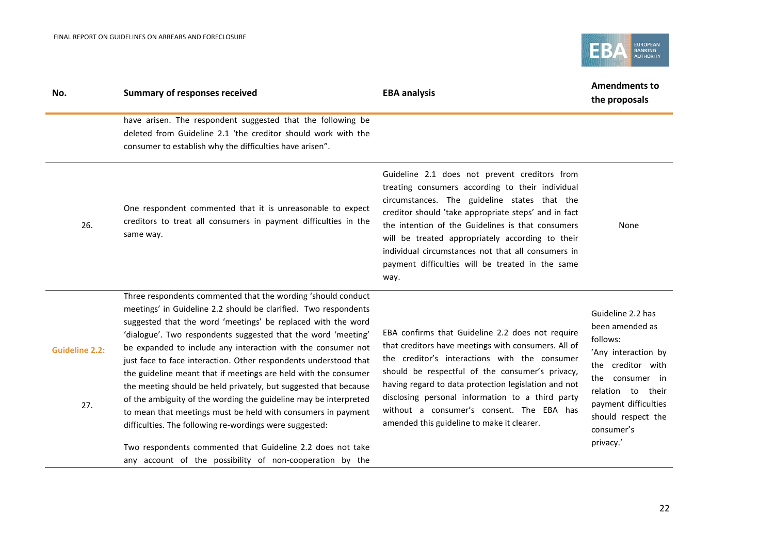

| No.                          | <b>Summary of responses received</b>                                                                                                                                                                                                                                                                                                                                                                                                                                                                                                                                                                                                                                                                                                                                                                                                                                 | <b>EBA analysis</b>                                                                                                                                                                                                                                                                                                                                                                                                                  | <b>Amendments to</b><br>the proposals                                                                                                                                                                         |
|------------------------------|----------------------------------------------------------------------------------------------------------------------------------------------------------------------------------------------------------------------------------------------------------------------------------------------------------------------------------------------------------------------------------------------------------------------------------------------------------------------------------------------------------------------------------------------------------------------------------------------------------------------------------------------------------------------------------------------------------------------------------------------------------------------------------------------------------------------------------------------------------------------|--------------------------------------------------------------------------------------------------------------------------------------------------------------------------------------------------------------------------------------------------------------------------------------------------------------------------------------------------------------------------------------------------------------------------------------|---------------------------------------------------------------------------------------------------------------------------------------------------------------------------------------------------------------|
|                              | have arisen. The respondent suggested that the following be<br>deleted from Guideline 2.1 'the creditor should work with the<br>consumer to establish why the difficulties have arisen".                                                                                                                                                                                                                                                                                                                                                                                                                                                                                                                                                                                                                                                                             |                                                                                                                                                                                                                                                                                                                                                                                                                                      |                                                                                                                                                                                                               |
| 26.                          | One respondent commented that it is unreasonable to expect<br>creditors to treat all consumers in payment difficulties in the<br>same way.                                                                                                                                                                                                                                                                                                                                                                                                                                                                                                                                                                                                                                                                                                                           | Guideline 2.1 does not prevent creditors from<br>treating consumers according to their individual<br>circumstances. The guideline states that the<br>creditor should 'take appropriate steps' and in fact<br>the intention of the Guidelines is that consumers<br>will be treated appropriately according to their<br>individual circumstances not that all consumers in<br>payment difficulties will be treated in the same<br>way. | None                                                                                                                                                                                                          |
| <b>Guideline 2.2:</b><br>27. | Three respondents commented that the wording 'should conduct<br>meetings' in Guideline 2.2 should be clarified. Two respondents<br>suggested that the word 'meetings' be replaced with the word<br>'dialogue'. Two respondents suggested that the word 'meeting'<br>be expanded to include any interaction with the consumer not<br>just face to face interaction. Other respondents understood that<br>the guideline meant that if meetings are held with the consumer<br>the meeting should be held privately, but suggested that because<br>of the ambiguity of the wording the guideline may be interpreted<br>to mean that meetings must be held with consumers in payment<br>difficulties. The following re-wordings were suggested:<br>Two respondents commented that Guideline 2.2 does not take<br>any account of the possibility of non-cooperation by the | EBA confirms that Guideline 2.2 does not require<br>that creditors have meetings with consumers. All of<br>the creditor's interactions with the consumer<br>should be respectful of the consumer's privacy,<br>having regard to data protection legislation and not<br>disclosing personal information to a third party<br>without a consumer's consent. The EBA has<br>amended this guideline to make it clearer.                   | Guideline 2.2 has<br>been amended as<br>follows:<br>'Any interaction by<br>the creditor with<br>the consumer in<br>relation to their<br>payment difficulties<br>should respect the<br>consumer's<br>privacy.' |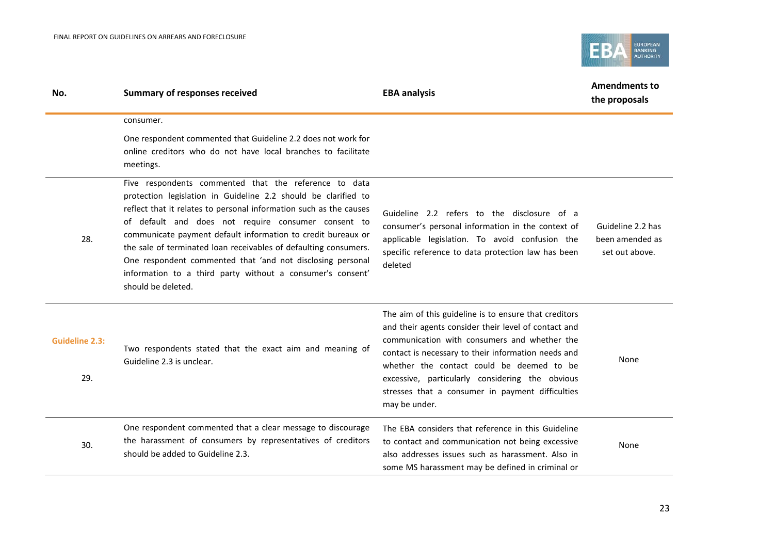

| No.                          | <b>Summary of responses received</b>                                                                                                                                                                                                                                                                                                                                                                                                                                                                                                       | <b>EBA analysis</b>                                                                                                                                                                                                                                                                                                                                                                       | <b>Amendments to</b><br>the proposals                  |
|------------------------------|--------------------------------------------------------------------------------------------------------------------------------------------------------------------------------------------------------------------------------------------------------------------------------------------------------------------------------------------------------------------------------------------------------------------------------------------------------------------------------------------------------------------------------------------|-------------------------------------------------------------------------------------------------------------------------------------------------------------------------------------------------------------------------------------------------------------------------------------------------------------------------------------------------------------------------------------------|--------------------------------------------------------|
|                              | consumer.                                                                                                                                                                                                                                                                                                                                                                                                                                                                                                                                  |                                                                                                                                                                                                                                                                                                                                                                                           |                                                        |
|                              | One respondent commented that Guideline 2.2 does not work for<br>online creditors who do not have local branches to facilitate<br>meetings.                                                                                                                                                                                                                                                                                                                                                                                                |                                                                                                                                                                                                                                                                                                                                                                                           |                                                        |
| 28.                          | Five respondents commented that the reference to data<br>protection legislation in Guideline 2.2 should be clarified to<br>reflect that it relates to personal information such as the causes<br>of default and does not require consumer consent to<br>communicate payment default information to credit bureaux or<br>the sale of terminated loan receivables of defaulting consumers.<br>One respondent commented that 'and not disclosing personal<br>information to a third party without a consumer's consent'<br>should be deleted. | Guideline 2.2 refers to the disclosure of a<br>consumer's personal information in the context of<br>applicable legislation. To avoid confusion the<br>specific reference to data protection law has been<br>deleted                                                                                                                                                                       | Guideline 2.2 has<br>been amended as<br>set out above. |
| <b>Guideline 2.3:</b><br>29. | Two respondents stated that the exact aim and meaning of<br>Guideline 2.3 is unclear.                                                                                                                                                                                                                                                                                                                                                                                                                                                      | The aim of this guideline is to ensure that creditors<br>and their agents consider their level of contact and<br>communication with consumers and whether the<br>contact is necessary to their information needs and<br>whether the contact could be deemed to be<br>excessive, particularly considering the obvious<br>stresses that a consumer in payment difficulties<br>may be under. | None                                                   |
| 30.                          | One respondent commented that a clear message to discourage<br>the harassment of consumers by representatives of creditors<br>should be added to Guideline 2.3.                                                                                                                                                                                                                                                                                                                                                                            | The EBA considers that reference in this Guideline<br>to contact and communication not being excessive<br>also addresses issues such as harassment. Also in<br>some MS harassment may be defined in criminal or                                                                                                                                                                           | None                                                   |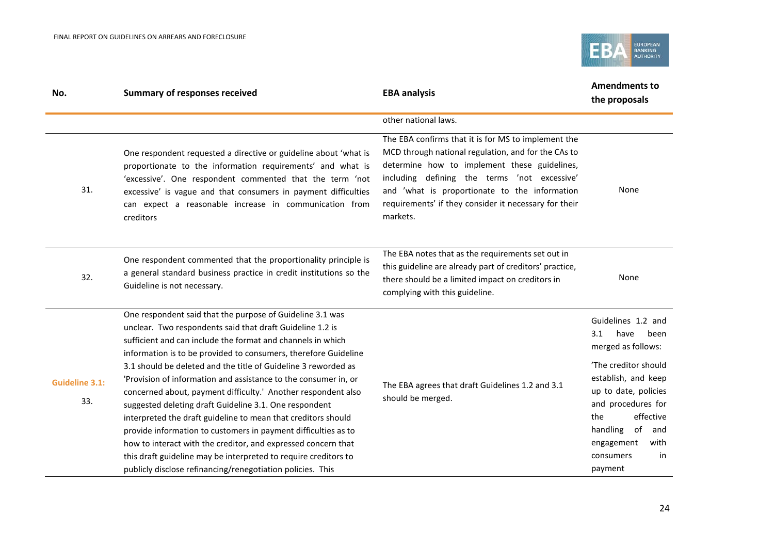

| No.                          | <b>Summary of responses received</b>                                                                                                                                                                                                                                                                                                                                                                                                                                                                                                                                                                                                                                                                                                                                                                                                                          | <b>EBA analysis</b>                                                                                                                                                                                                                                                                                                              | <b>Amendments to</b><br>the proposals                                                                                                                                                                                                                         |
|------------------------------|---------------------------------------------------------------------------------------------------------------------------------------------------------------------------------------------------------------------------------------------------------------------------------------------------------------------------------------------------------------------------------------------------------------------------------------------------------------------------------------------------------------------------------------------------------------------------------------------------------------------------------------------------------------------------------------------------------------------------------------------------------------------------------------------------------------------------------------------------------------|----------------------------------------------------------------------------------------------------------------------------------------------------------------------------------------------------------------------------------------------------------------------------------------------------------------------------------|---------------------------------------------------------------------------------------------------------------------------------------------------------------------------------------------------------------------------------------------------------------|
|                              |                                                                                                                                                                                                                                                                                                                                                                                                                                                                                                                                                                                                                                                                                                                                                                                                                                                               | other national laws.                                                                                                                                                                                                                                                                                                             |                                                                                                                                                                                                                                                               |
| 31.                          | One respondent requested a directive or guideline about 'what is<br>proportionate to the information requirements' and what is<br>'excessive'. One respondent commented that the term 'not<br>excessive' is vague and that consumers in payment difficulties<br>can expect a reasonable increase in communication from<br>creditors                                                                                                                                                                                                                                                                                                                                                                                                                                                                                                                           | The EBA confirms that it is for MS to implement the<br>MCD through national regulation, and for the CAs to<br>determine how to implement these guidelines,<br>including defining the terms 'not excessive'<br>and 'what is proportionate to the information<br>requirements' if they consider it necessary for their<br>markets. | None                                                                                                                                                                                                                                                          |
| 32.                          | One respondent commented that the proportionality principle is<br>a general standard business practice in credit institutions so the<br>Guideline is not necessary.                                                                                                                                                                                                                                                                                                                                                                                                                                                                                                                                                                                                                                                                                           | The EBA notes that as the requirements set out in<br>this guideline are already part of creditors' practice,<br>there should be a limited impact on creditors in<br>complying with this guideline.                                                                                                                               | None                                                                                                                                                                                                                                                          |
| <b>Guideline 3.1:</b><br>33. | One respondent said that the purpose of Guideline 3.1 was<br>unclear. Two respondents said that draft Guideline 1.2 is<br>sufficient and can include the format and channels in which<br>information is to be provided to consumers, therefore Guideline<br>3.1 should be deleted and the title of Guideline 3 reworded as<br>'Provision of information and assistance to the consumer in, or<br>concerned about, payment difficulty.' Another respondent also<br>suggested deleting draft Guideline 3.1. One respondent<br>interpreted the draft guideline to mean that creditors should<br>provide information to customers in payment difficulties as to<br>how to interact with the creditor, and expressed concern that<br>this draft guideline may be interpreted to require creditors to<br>publicly disclose refinancing/renegotiation policies. This | The EBA agrees that draft Guidelines 1.2 and 3.1<br>should be merged.                                                                                                                                                                                                                                                            | Guidelines 1.2 and<br>have<br>been<br>3.1<br>merged as follows:<br>'The creditor should<br>establish, and keep<br>up to date, policies<br>and procedures for<br>effective<br>the<br>handling<br>of<br>and<br>engagement<br>with<br>in<br>consumers<br>payment |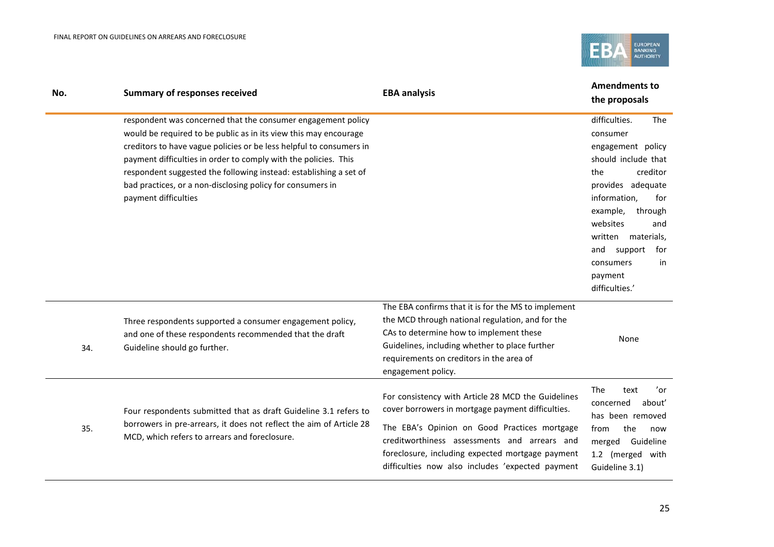

| No. | <b>Summary of responses received</b>                                                                                                                                                                                                                                                                                                                                                                                                  | <b>EBA analysis</b>                                                                                                                                                                                                                                                                                             | <b>Amendments to</b><br>the proposals                                                                                                                                                                                                                                                |
|-----|---------------------------------------------------------------------------------------------------------------------------------------------------------------------------------------------------------------------------------------------------------------------------------------------------------------------------------------------------------------------------------------------------------------------------------------|-----------------------------------------------------------------------------------------------------------------------------------------------------------------------------------------------------------------------------------------------------------------------------------------------------------------|--------------------------------------------------------------------------------------------------------------------------------------------------------------------------------------------------------------------------------------------------------------------------------------|
|     | respondent was concerned that the consumer engagement policy<br>would be required to be public as in its view this may encourage<br>creditors to have vague policies or be less helpful to consumers in<br>payment difficulties in order to comply with the policies. This<br>respondent suggested the following instead: establishing a set of<br>bad practices, or a non-disclosing policy for consumers in<br>payment difficulties |                                                                                                                                                                                                                                                                                                                 | difficulties.<br>The<br>consumer<br>engagement policy<br>should include that<br>creditor<br>the<br>provides adequate<br>information,<br>for<br>example,<br>through<br>websites<br>and<br>written materials,<br>and<br>support<br>for<br>in<br>consumers<br>payment<br>difficulties.' |
| 34. | Three respondents supported a consumer engagement policy,<br>and one of these respondents recommended that the draft<br>Guideline should go further.                                                                                                                                                                                                                                                                                  | The EBA confirms that it is for the MS to implement<br>the MCD through national regulation, and for the<br>CAs to determine how to implement these<br>Guidelines, including whether to place further<br>requirements on creditors in the area of<br>engagement policy.                                          | None                                                                                                                                                                                                                                                                                 |
| 35. | Four respondents submitted that as draft Guideline 3.1 refers to<br>borrowers in pre-arrears, it does not reflect the aim of Article 28<br>MCD, which refers to arrears and foreclosure.                                                                                                                                                                                                                                              | For consistency with Article 28 MCD the Guidelines<br>cover borrowers in mortgage payment difficulties.<br>The EBA's Opinion on Good Practices mortgage<br>creditworthiness assessments and arrears and<br>foreclosure, including expected mortgage payment<br>difficulties now also includes 'expected payment | 'or<br>The<br>text<br>concerned<br>about'<br>has been removed<br>the<br>from<br>now<br>merged Guideline<br>1.2 (merged with<br>Guideline 3.1)                                                                                                                                        |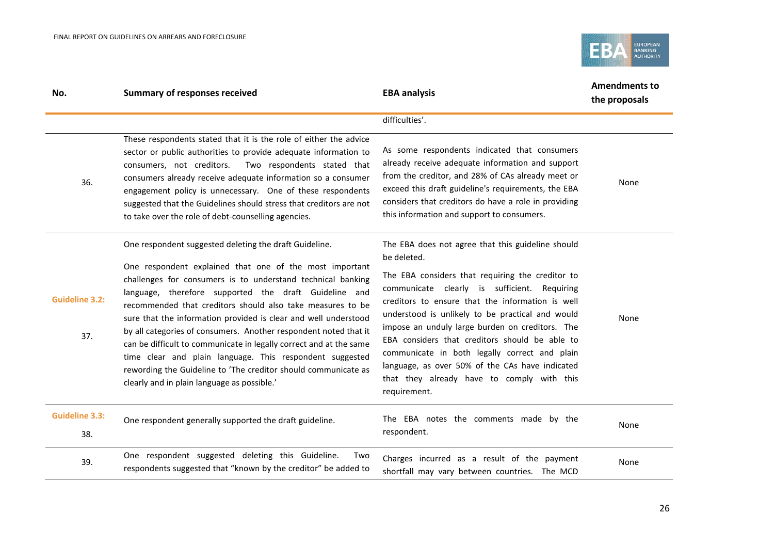

| No.                          | <b>Summary of responses received</b>                                                                                                                                                                                                                                                                                                                                                                                                                                                                                                                                                                                                                                                              | <b>EBA analysis</b>                                                                                                                                                                                                                                                                                                                                                                                                                                                                                                                                 | <b>Amendments to</b><br>the proposals |
|------------------------------|---------------------------------------------------------------------------------------------------------------------------------------------------------------------------------------------------------------------------------------------------------------------------------------------------------------------------------------------------------------------------------------------------------------------------------------------------------------------------------------------------------------------------------------------------------------------------------------------------------------------------------------------------------------------------------------------------|-----------------------------------------------------------------------------------------------------------------------------------------------------------------------------------------------------------------------------------------------------------------------------------------------------------------------------------------------------------------------------------------------------------------------------------------------------------------------------------------------------------------------------------------------------|---------------------------------------|
|                              |                                                                                                                                                                                                                                                                                                                                                                                                                                                                                                                                                                                                                                                                                                   | difficulties'.                                                                                                                                                                                                                                                                                                                                                                                                                                                                                                                                      |                                       |
| 36.                          | These respondents stated that it is the role of either the advice<br>sector or public authorities to provide adequate information to<br>consumers, not creditors.<br>Two respondents stated that<br>consumers already receive adequate information so a consumer<br>engagement policy is unnecessary. One of these respondents<br>suggested that the Guidelines should stress that creditors are not<br>to take over the role of debt-counselling agencies.                                                                                                                                                                                                                                       | As some respondents indicated that consumers<br>already receive adequate information and support<br>from the creditor, and 28% of CAs already meet or<br>exceed this draft guideline's requirements, the EBA<br>considers that creditors do have a role in providing<br>this information and support to consumers.                                                                                                                                                                                                                                  | None                                  |
| <b>Guideline 3.2:</b><br>37. | One respondent suggested deleting the draft Guideline.<br>One respondent explained that one of the most important<br>challenges for consumers is to understand technical banking<br>language, therefore supported the draft Guideline and<br>recommended that creditors should also take measures to be<br>sure that the information provided is clear and well understood<br>by all categories of consumers. Another respondent noted that it<br>can be difficult to communicate in legally correct and at the same<br>time clear and plain language. This respondent suggested<br>rewording the Guideline to 'The creditor should communicate as<br>clearly and in plain language as possible.' | The EBA does not agree that this guideline should<br>be deleted.<br>The EBA considers that requiring the creditor to<br>communicate clearly is sufficient. Requiring<br>creditors to ensure that the information is well<br>understood is unlikely to be practical and would<br>impose an unduly large burden on creditors. The<br>EBA considers that creditors should be able to<br>communicate in both legally correct and plain<br>language, as over 50% of the CAs have indicated<br>that they already have to comply with this<br>requirement. | None                                  |
| <b>Guideline 3.3:</b><br>38. | One respondent generally supported the draft guideline.                                                                                                                                                                                                                                                                                                                                                                                                                                                                                                                                                                                                                                           | The EBA notes the comments made by the<br>respondent.                                                                                                                                                                                                                                                                                                                                                                                                                                                                                               | None                                  |
| 39.                          | One respondent suggested deleting this Guideline.<br>Two<br>respondents suggested that "known by the creditor" be added to                                                                                                                                                                                                                                                                                                                                                                                                                                                                                                                                                                        | Charges incurred as a result of the payment<br>shortfall may vary between countries. The MCD                                                                                                                                                                                                                                                                                                                                                                                                                                                        | None                                  |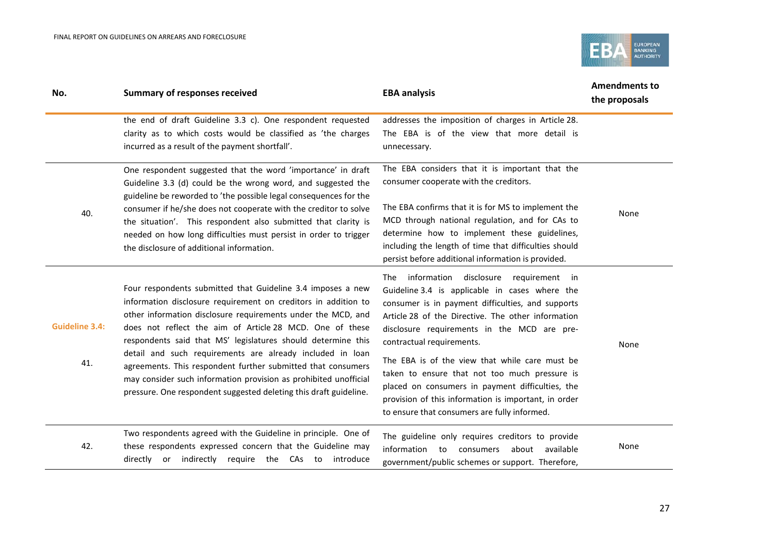

| No.                          | <b>Summary of responses received</b>                                                                                                                                                                                                                                                                                                                                                                                                                                                                                                                                                            | <b>EBA analysis</b>                                                                                                                                                                                                                                                                                                                                                                                                                                                                                                                                  | <b>Amendments to</b><br>the proposals |
|------------------------------|-------------------------------------------------------------------------------------------------------------------------------------------------------------------------------------------------------------------------------------------------------------------------------------------------------------------------------------------------------------------------------------------------------------------------------------------------------------------------------------------------------------------------------------------------------------------------------------------------|------------------------------------------------------------------------------------------------------------------------------------------------------------------------------------------------------------------------------------------------------------------------------------------------------------------------------------------------------------------------------------------------------------------------------------------------------------------------------------------------------------------------------------------------------|---------------------------------------|
|                              | the end of draft Guideline 3.3 c). One respondent requested<br>clarity as to which costs would be classified as 'the charges<br>incurred as a result of the payment shortfall'.                                                                                                                                                                                                                                                                                                                                                                                                                 | addresses the imposition of charges in Article 28.<br>The EBA is of the view that more detail is<br>unnecessary.                                                                                                                                                                                                                                                                                                                                                                                                                                     |                                       |
| 40.                          | One respondent suggested that the word 'importance' in draft<br>Guideline 3.3 (d) could be the wrong word, and suggested the<br>guideline be reworded to 'the possible legal consequences for the<br>consumer if he/she does not cooperate with the creditor to solve<br>the situation'. This respondent also submitted that clarity is<br>needed on how long difficulties must persist in order to trigger<br>the disclosure of additional information.                                                                                                                                        | The EBA considers that it is important that the<br>consumer cooperate with the creditors.<br>The EBA confirms that it is for MS to implement the<br>MCD through national regulation, and for CAs to<br>determine how to implement these guidelines,<br>including the length of time that difficulties should<br>persist before additional information is provided.                                                                                                                                                                                   | None                                  |
| <b>Guideline 3.4:</b><br>41. | Four respondents submitted that Guideline 3.4 imposes a new<br>information disclosure requirement on creditors in addition to<br>other information disclosure requirements under the MCD, and<br>does not reflect the aim of Article 28 MCD. One of these<br>respondents said that MS' legislatures should determine this<br>detail and such requirements are already included in loan<br>agreements. This respondent further submitted that consumers<br>may consider such information provision as prohibited unofficial<br>pressure. One respondent suggested deleting this draft guideline. | The information disclosure<br>requirement in<br>Guideline 3.4 is applicable in cases where the<br>consumer is in payment difficulties, and supports<br>Article 28 of the Directive. The other information<br>disclosure requirements in the MCD are pre-<br>contractual requirements.<br>The EBA is of the view that while care must be<br>taken to ensure that not too much pressure is<br>placed on consumers in payment difficulties, the<br>provision of this information is important, in order<br>to ensure that consumers are fully informed. | None                                  |
| 42.                          | Two respondents agreed with the Guideline in principle. One of<br>these respondents expressed concern that the Guideline may<br>directly or indirectly require the CAs to introduce                                                                                                                                                                                                                                                                                                                                                                                                             | The guideline only requires creditors to provide<br>information to consumers about available<br>government/public schemes or support. Therefore,                                                                                                                                                                                                                                                                                                                                                                                                     | None                                  |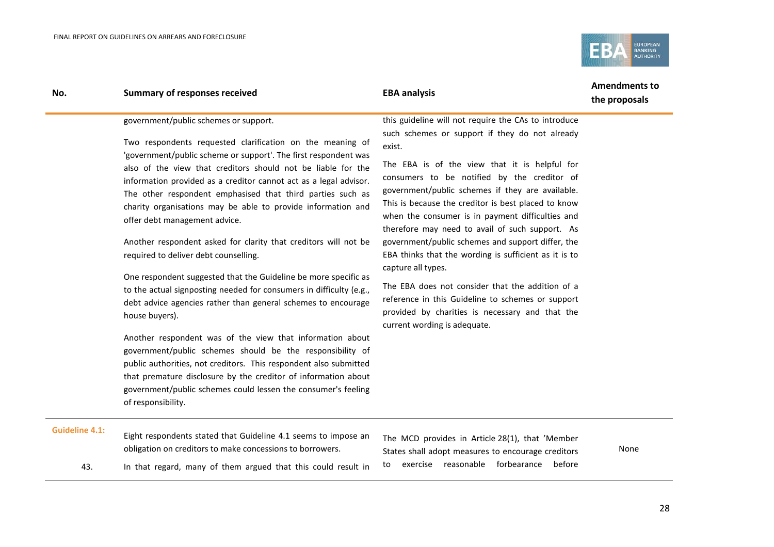

| No. | <b>Summary of responses received</b>                                                                                                                                                                                                                                                                                                                                                                                                                                                                                                                                                                                                                                                                                                                                                                                                                                                                                                                                                                                                                                                                                                                                       | <b>EBA analysis</b>                                                                                                                                                                                                                                                                                                                                                                                                                                                                                                                                                                                                                                                                                                                                                | <b>Amendments to</b><br>the proposals |
|-----|----------------------------------------------------------------------------------------------------------------------------------------------------------------------------------------------------------------------------------------------------------------------------------------------------------------------------------------------------------------------------------------------------------------------------------------------------------------------------------------------------------------------------------------------------------------------------------------------------------------------------------------------------------------------------------------------------------------------------------------------------------------------------------------------------------------------------------------------------------------------------------------------------------------------------------------------------------------------------------------------------------------------------------------------------------------------------------------------------------------------------------------------------------------------------|--------------------------------------------------------------------------------------------------------------------------------------------------------------------------------------------------------------------------------------------------------------------------------------------------------------------------------------------------------------------------------------------------------------------------------------------------------------------------------------------------------------------------------------------------------------------------------------------------------------------------------------------------------------------------------------------------------------------------------------------------------------------|---------------------------------------|
|     | government/public schemes or support.<br>Two respondents requested clarification on the meaning of<br>'government/public scheme or support'. The first respondent was<br>also of the view that creditors should not be liable for the<br>information provided as a creditor cannot act as a legal advisor.<br>The other respondent emphasised that third parties such as<br>charity organisations may be able to provide information and<br>offer debt management advice.<br>Another respondent asked for clarity that creditors will not be<br>required to deliver debt counselling.<br>One respondent suggested that the Guideline be more specific as<br>to the actual signposting needed for consumers in difficulty (e.g.,<br>debt advice agencies rather than general schemes to encourage<br>house buyers).<br>Another respondent was of the view that information about<br>government/public schemes should be the responsibility of<br>public authorities, not creditors. This respondent also submitted<br>that premature disclosure by the creditor of information about<br>government/public schemes could lessen the consumer's feeling<br>of responsibility. | this guideline will not require the CAs to introduce<br>such schemes or support if they do not already<br>exist.<br>The EBA is of the view that it is helpful for<br>consumers to be notified by the creditor of<br>government/public schemes if they are available.<br>This is because the creditor is best placed to know<br>when the consumer is in payment difficulties and<br>therefore may need to avail of such support. As<br>government/public schemes and support differ, the<br>EBA thinks that the wording is sufficient as it is to<br>capture all types.<br>The EBA does not consider that the addition of a<br>reference in this Guideline to schemes or support<br>provided by charities is necessary and that the<br>current wording is adequate. |                                       |
|     |                                                                                                                                                                                                                                                                                                                                                                                                                                                                                                                                                                                                                                                                                                                                                                                                                                                                                                                                                                                                                                                                                                                                                                            |                                                                                                                                                                                                                                                                                                                                                                                                                                                                                                                                                                                                                                                                                                                                                                    |                                       |

#### **Guideline 4.1:**

- Eight respondents stated that Guideline 4.1 seems to impose an obligation on creditors to make concessions to borrowers.
- 43. In that regard, many of them argued that this could result in

The MCD provides in Article 28(1), that 'Member States shall adopt measures to encourage creditors to exercise reasonable forbearance before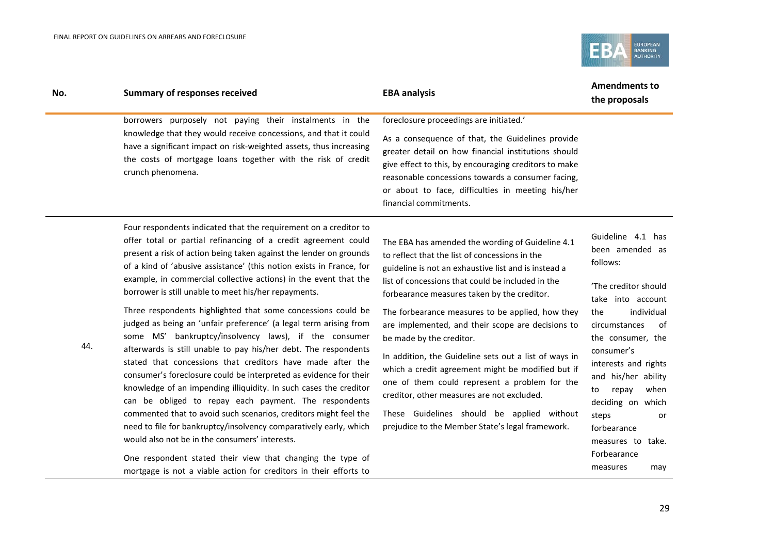

| No. | <b>Summary of responses received</b>                                                                                                                                                                                                                                                                                                                                                                                                                                                                                                                                                                                                                                                                                                                                                                                                                                                                                                                                                                                                                                                                                                                                                                                                                                         | <b>EBA analysis</b>                                                                                                                                                                                                                                                                                                                                                                                                                                                                                                                                                                                                                                                                                                | <b>Amendments to</b><br>the proposals                                                                                                                                                                                                                                                                                                                        |
|-----|------------------------------------------------------------------------------------------------------------------------------------------------------------------------------------------------------------------------------------------------------------------------------------------------------------------------------------------------------------------------------------------------------------------------------------------------------------------------------------------------------------------------------------------------------------------------------------------------------------------------------------------------------------------------------------------------------------------------------------------------------------------------------------------------------------------------------------------------------------------------------------------------------------------------------------------------------------------------------------------------------------------------------------------------------------------------------------------------------------------------------------------------------------------------------------------------------------------------------------------------------------------------------|--------------------------------------------------------------------------------------------------------------------------------------------------------------------------------------------------------------------------------------------------------------------------------------------------------------------------------------------------------------------------------------------------------------------------------------------------------------------------------------------------------------------------------------------------------------------------------------------------------------------------------------------------------------------------------------------------------------------|--------------------------------------------------------------------------------------------------------------------------------------------------------------------------------------------------------------------------------------------------------------------------------------------------------------------------------------------------------------|
|     | borrowers purposely not paying their instalments in the<br>knowledge that they would receive concessions, and that it could<br>have a significant impact on risk-weighted assets, thus increasing<br>the costs of mortgage loans together with the risk of credit<br>crunch phenomena.                                                                                                                                                                                                                                                                                                                                                                                                                                                                                                                                                                                                                                                                                                                                                                                                                                                                                                                                                                                       | foreclosure proceedings are initiated.'<br>As a consequence of that, the Guidelines provide<br>greater detail on how financial institutions should<br>give effect to this, by encouraging creditors to make<br>reasonable concessions towards a consumer facing,<br>or about to face, difficulties in meeting his/her<br>financial commitments.                                                                                                                                                                                                                                                                                                                                                                    |                                                                                                                                                                                                                                                                                                                                                              |
| 44. | Four respondents indicated that the requirement on a creditor to<br>offer total or partial refinancing of a credit agreement could<br>present a risk of action being taken against the lender on grounds<br>of a kind of 'abusive assistance' (this notion exists in France, for<br>example, in commercial collective actions) in the event that the<br>borrower is still unable to meet his/her repayments.<br>Three respondents highlighted that some concessions could be<br>judged as being an 'unfair preference' (a legal term arising from<br>some MS' bankruptcy/insolvency laws), if the consumer<br>afterwards is still unable to pay his/her debt. The respondents<br>stated that concessions that creditors have made after the<br>consumer's foreclosure could be interpreted as evidence for their<br>knowledge of an impending illiquidity. In such cases the creditor<br>can be obliged to repay each payment. The respondents<br>commented that to avoid such scenarios, creditors might feel the<br>need to file for bankruptcy/insolvency comparatively early, which<br>would also not be in the consumers' interests.<br>One respondent stated their view that changing the type of<br>mortgage is not a viable action for creditors in their efforts to | The EBA has amended the wording of Guideline 4.1<br>to reflect that the list of concessions in the<br>guideline is not an exhaustive list and is instead a<br>list of concessions that could be included in the<br>forbearance measures taken by the creditor.<br>The forbearance measures to be applied, how they<br>are implemented, and their scope are decisions to<br>be made by the creditor.<br>In addition, the Guideline sets out a list of ways in<br>which a credit agreement might be modified but if<br>one of them could represent a problem for the<br>creditor, other measures are not excluded.<br>These Guidelines should be applied without<br>prejudice to the Member State's legal framework. | Guideline 4.1 has<br>been amended as<br>follows:<br>'The creditor should<br>take into account<br>individual<br>the<br>circumstances<br>0f<br>the consumer, the<br>consumer's<br>interests and rights<br>and his/her ability<br>repay<br>when<br>to<br>deciding on which<br>steps<br>or<br>forbearance<br>measures to take.<br>Forbearance<br>measures<br>may |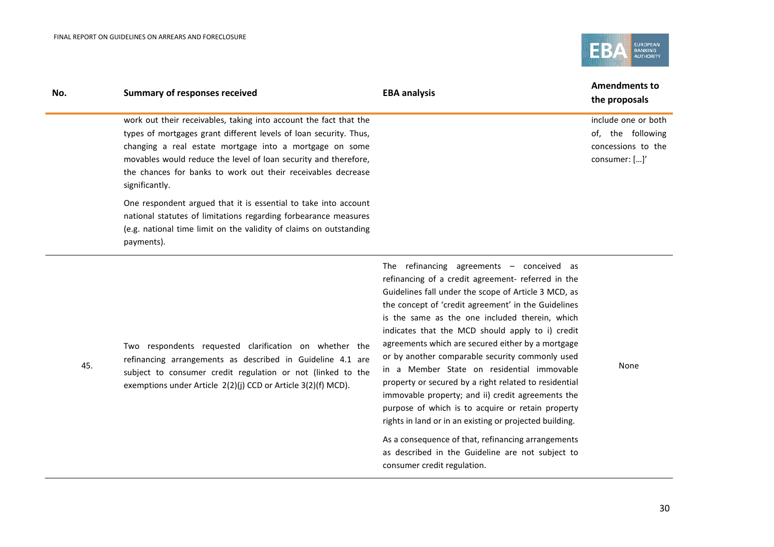45.

 $\overline{a}$ 



| No. | <b>Summary of responses received</b>                                                                                                                                                                                                                                                                                                                   | <b>EBA analysis</b> | <b>Amendments to</b><br>the proposals                                           |
|-----|--------------------------------------------------------------------------------------------------------------------------------------------------------------------------------------------------------------------------------------------------------------------------------------------------------------------------------------------------------|---------------------|---------------------------------------------------------------------------------|
|     | work out their receivables, taking into account the fact that the<br>types of mortgages grant different levels of loan security. Thus,<br>changing a real estate mortgage into a mortgage on some<br>movables would reduce the level of loan security and therefore,<br>the chances for banks to work out their receivables decrease<br>significantly. |                     | include one or both<br>of, the following<br>concessions to the<br>consumer: []' |
|     | One respondent argued that it is essential to take into account<br>national statutes of limitations regarding forbearance measures<br>(e.g. national time limit on the validity of claims on outstanding<br>payments).                                                                                                                                 |                     |                                                                                 |

Two respondents requested clarification on whether the refinancing arrangements as described in Guideline 4.1 are subject to consumer credit regulation or not (linked to the exemptions under Article 2(2)(j) CCD or Article 3(2)(f) MCD).

The refinancing agreements – conceived as refinancing of a credit agreement- referred in the Guidelines fall under the scope of Article 3 MCD, as the concept of 'credit agreement' in the Guidelines is the same as the one included therein, which indicates that the MCD should apply to i) credit agreements which are secured either by a mortgage or by another comparable security commonly used in a Member State on residential immovable property or secured by a right related to residential immovable property; and ii) credit agreements the purpose of which is to acquire or retain property rights in land or in an existing or projected building.

As a consequence of that, refinancing arrangements as described in the Guideline are not subject to consumer credit regulation.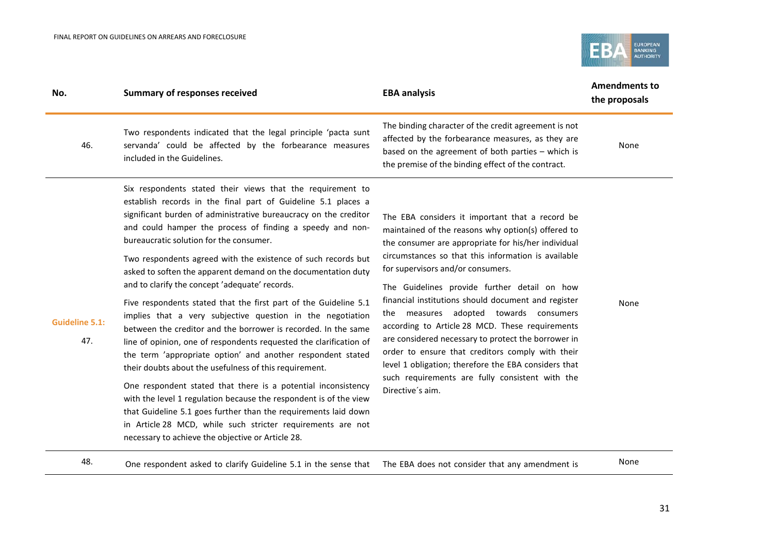

| No.                          | <b>Summary of responses received</b>                                                                                                                                                                                                                                                                                                                                                                                                                                                                                                                                                                                                                                                                                                                                                                                                                                                                                                                                                                                                                                                                                                                                                                                        | <b>EBA analysis</b>                                                                                                                                                                                                                                                                                                                                                                                                                                                                                                                                                                                                                                                                                    | <b>Amendments to</b><br>the proposals |
|------------------------------|-----------------------------------------------------------------------------------------------------------------------------------------------------------------------------------------------------------------------------------------------------------------------------------------------------------------------------------------------------------------------------------------------------------------------------------------------------------------------------------------------------------------------------------------------------------------------------------------------------------------------------------------------------------------------------------------------------------------------------------------------------------------------------------------------------------------------------------------------------------------------------------------------------------------------------------------------------------------------------------------------------------------------------------------------------------------------------------------------------------------------------------------------------------------------------------------------------------------------------|--------------------------------------------------------------------------------------------------------------------------------------------------------------------------------------------------------------------------------------------------------------------------------------------------------------------------------------------------------------------------------------------------------------------------------------------------------------------------------------------------------------------------------------------------------------------------------------------------------------------------------------------------------------------------------------------------------|---------------------------------------|
| 46.                          | Two respondents indicated that the legal principle 'pacta sunt<br>servanda' could be affected by the forbearance measures<br>included in the Guidelines.                                                                                                                                                                                                                                                                                                                                                                                                                                                                                                                                                                                                                                                                                                                                                                                                                                                                                                                                                                                                                                                                    | The binding character of the credit agreement is not<br>affected by the forbearance measures, as they are<br>based on the agreement of both parties - which is<br>the premise of the binding effect of the contract.                                                                                                                                                                                                                                                                                                                                                                                                                                                                                   | None                                  |
| <b>Guideline 5.1:</b><br>47. | Six respondents stated their views that the requirement to<br>establish records in the final part of Guideline 5.1 places a<br>significant burden of administrative bureaucracy on the creditor<br>and could hamper the process of finding a speedy and non-<br>bureaucratic solution for the consumer.<br>Two respondents agreed with the existence of such records but<br>asked to soften the apparent demand on the documentation duty<br>and to clarify the concept 'adequate' records.<br>Five respondents stated that the first part of the Guideline 5.1<br>implies that a very subjective question in the negotiation<br>between the creditor and the borrower is recorded. In the same<br>line of opinion, one of respondents requested the clarification of<br>the term 'appropriate option' and another respondent stated<br>their doubts about the usefulness of this requirement.<br>One respondent stated that there is a potential inconsistency<br>with the level 1 regulation because the respondent is of the view<br>that Guideline 5.1 goes further than the requirements laid down<br>in Article 28 MCD, while such stricter requirements are not<br>necessary to achieve the objective or Article 28. | The EBA considers it important that a record be<br>maintained of the reasons why option(s) offered to<br>the consumer are appropriate for his/her individual<br>circumstances so that this information is available<br>for supervisors and/or consumers.<br>The Guidelines provide further detail on how<br>financial institutions should document and register<br>the measures adopted towards consumers<br>according to Article 28 MCD. These requirements<br>are considered necessary to protect the borrower in<br>order to ensure that creditors comply with their<br>level 1 obligation; therefore the EBA considers that<br>such requirements are fully consistent with the<br>Directive's aim. | None                                  |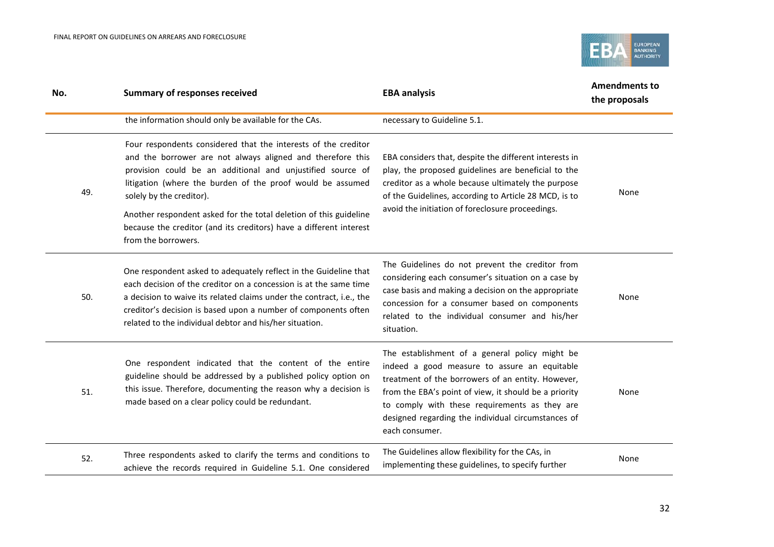

| No. | <b>Summary of responses received</b>                                                                                                                                                                                                                                                                                                                                                                                                                   | <b>EBA analysis</b>                                                                                                                                                                                                                                                                                                                   | <b>Amendments to</b><br>the proposals |
|-----|--------------------------------------------------------------------------------------------------------------------------------------------------------------------------------------------------------------------------------------------------------------------------------------------------------------------------------------------------------------------------------------------------------------------------------------------------------|---------------------------------------------------------------------------------------------------------------------------------------------------------------------------------------------------------------------------------------------------------------------------------------------------------------------------------------|---------------------------------------|
|     | the information should only be available for the CAs.                                                                                                                                                                                                                                                                                                                                                                                                  | necessary to Guideline 5.1.                                                                                                                                                                                                                                                                                                           |                                       |
| 49. | Four respondents considered that the interests of the creditor<br>and the borrower are not always aligned and therefore this<br>provision could be an additional and unjustified source of<br>litigation (where the burden of the proof would be assumed<br>solely by the creditor).<br>Another respondent asked for the total deletion of this guideline<br>because the creditor (and its creditors) have a different interest<br>from the borrowers. | EBA considers that, despite the different interests in<br>play, the proposed guidelines are beneficial to the<br>creditor as a whole because ultimately the purpose<br>of the Guidelines, according to Article 28 MCD, is to<br>avoid the initiation of foreclosure proceedings.                                                      | None                                  |
| 50. | One respondent asked to adequately reflect in the Guideline that<br>each decision of the creditor on a concession is at the same time<br>a decision to waive its related claims under the contract, i.e., the<br>creditor's decision is based upon a number of components often<br>related to the individual debtor and his/her situation.                                                                                                             | The Guidelines do not prevent the creditor from<br>considering each consumer's situation on a case by<br>case basis and making a decision on the appropriate<br>concession for a consumer based on components<br>related to the individual consumer and his/her<br>situation.                                                         | None                                  |
| 51. | One respondent indicated that the content of the entire<br>guideline should be addressed by a published policy option on<br>this issue. Therefore, documenting the reason why a decision is<br>made based on a clear policy could be redundant.                                                                                                                                                                                                        | The establishment of a general policy might be<br>indeed a good measure to assure an equitable<br>treatment of the borrowers of an entity. However,<br>from the EBA's point of view, it should be a priority<br>to comply with these requirements as they are<br>designed regarding the individual circumstances of<br>each consumer. | None                                  |
| 52. | Three respondents asked to clarify the terms and conditions to<br>achieve the records required in Guideline 5.1. One considered                                                                                                                                                                                                                                                                                                                        | The Guidelines allow flexibility for the CAs, in<br>implementing these guidelines, to specify further                                                                                                                                                                                                                                 | None                                  |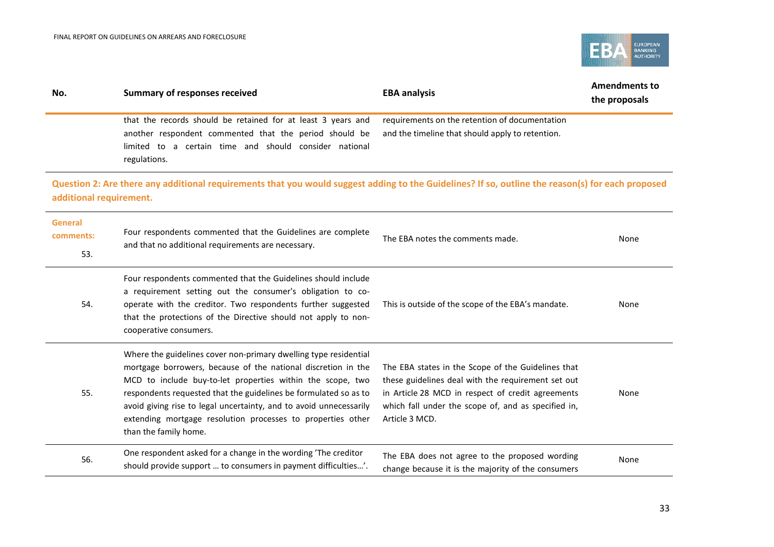

| No.                                | <b>Summary of responses received</b>                                                                                                                                                                                                                                                                                                                                                                                              | <b>EBA analysis</b>                                                                                                                                                                                                                    | <b>Amendments to</b><br>the proposals |
|------------------------------------|-----------------------------------------------------------------------------------------------------------------------------------------------------------------------------------------------------------------------------------------------------------------------------------------------------------------------------------------------------------------------------------------------------------------------------------|----------------------------------------------------------------------------------------------------------------------------------------------------------------------------------------------------------------------------------------|---------------------------------------|
|                                    | that the records should be retained for at least 3 years and<br>another respondent commented that the period should be<br>limited to a certain time and should consider national<br>regulations.                                                                                                                                                                                                                                  | requirements on the retention of documentation<br>and the timeline that should apply to retention.                                                                                                                                     |                                       |
| additional requirement.            | Question 2: Are there any additional requirements that you would suggest adding to the Guidelines? If so, outline the reason(s) for each proposed                                                                                                                                                                                                                                                                                 |                                                                                                                                                                                                                                        |                                       |
| <b>General</b><br>comments:<br>53. | Four respondents commented that the Guidelines are complete<br>and that no additional requirements are necessary.                                                                                                                                                                                                                                                                                                                 | The EBA notes the comments made.                                                                                                                                                                                                       | None                                  |
| 54.                                | Four respondents commented that the Guidelines should include<br>a requirement setting out the consumer's obligation to co-<br>operate with the creditor. Two respondents further suggested<br>that the protections of the Directive should not apply to non-<br>cooperative consumers.                                                                                                                                           | This is outside of the scope of the EBA's mandate.                                                                                                                                                                                     | None                                  |
| 55.                                | Where the guidelines cover non-primary dwelling type residential<br>mortgage borrowers, because of the national discretion in the<br>MCD to include buy-to-let properties within the scope, two<br>respondents requested that the guidelines be formulated so as to<br>avoid giving rise to legal uncertainty, and to avoid unnecessarily<br>extending mortgage resolution processes to properties other<br>than the family home. | The EBA states in the Scope of the Guidelines that<br>these guidelines deal with the requirement set out<br>in Article 28 MCD in respect of credit agreements<br>which fall under the scope of, and as specified in,<br>Article 3 MCD. | None                                  |
| 56.                                | One respondent asked for a change in the wording 'The creditor<br>should provide support  to consumers in payment difficulties'.                                                                                                                                                                                                                                                                                                  | The EBA does not agree to the proposed wording<br>change because it is the majority of the consumers                                                                                                                                   | None                                  |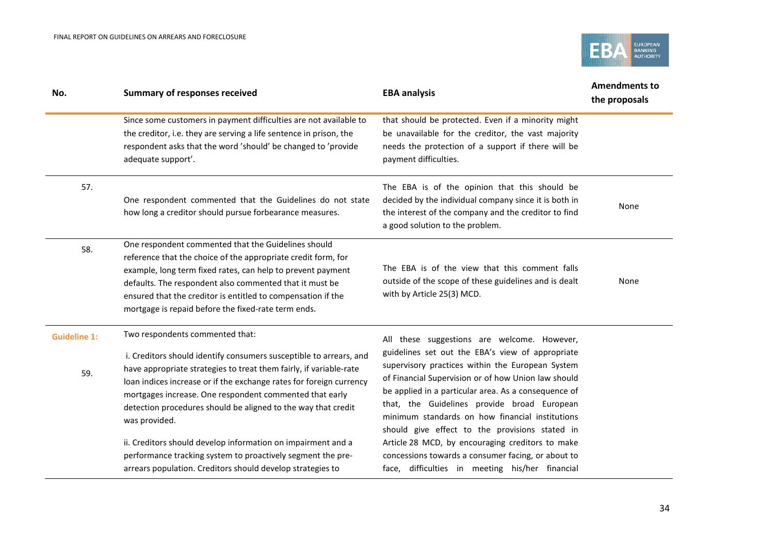

| No.                        | <b>Summary of responses received</b>                                                                                                                                                                                                                                                                                                                                                            | <b>EBA analysis</b>                                                                                                                                                                                                                                                                                                                                                                                                    | <b>Amendments to</b><br>the proposals |
|----------------------------|-------------------------------------------------------------------------------------------------------------------------------------------------------------------------------------------------------------------------------------------------------------------------------------------------------------------------------------------------------------------------------------------------|------------------------------------------------------------------------------------------------------------------------------------------------------------------------------------------------------------------------------------------------------------------------------------------------------------------------------------------------------------------------------------------------------------------------|---------------------------------------|
|                            | Since some customers in payment difficulties are not available to<br>the creditor, i.e. they are serving a life sentence in prison, the<br>respondent asks that the word 'should' be changed to 'provide<br>adequate support'.                                                                                                                                                                  | that should be protected. Even if a minority might<br>be unavailable for the creditor, the vast majority<br>needs the protection of a support if there will be<br>payment difficulties.                                                                                                                                                                                                                                |                                       |
| 57.                        | One respondent commented that the Guidelines do not state<br>how long a creditor should pursue forbearance measures.                                                                                                                                                                                                                                                                            | The EBA is of the opinion that this should be<br>decided by the individual company since it is both in<br>the interest of the company and the creditor to find<br>a good solution to the problem.                                                                                                                                                                                                                      | None                                  |
| 58.                        | One respondent commented that the Guidelines should<br>reference that the choice of the appropriate credit form, for<br>example, long term fixed rates, can help to prevent payment<br>defaults. The respondent also commented that it must be<br>ensured that the creditor is entitled to compensation if the<br>mortgage is repaid before the fixed-rate term ends.                           | The EBA is of the view that this comment falls<br>outside of the scope of these guidelines and is dealt<br>with by Article 25(3) MCD.                                                                                                                                                                                                                                                                                  | None                                  |
| <b>Guideline 1:</b><br>59. | Two respondents commented that:<br>i. Creditors should identify consumers susceptible to arrears, and<br>have appropriate strategies to treat them fairly, if variable-rate<br>loan indices increase or if the exchange rates for foreign currency<br>mortgages increase. One respondent commented that early<br>detection procedures should be aligned to the way that credit<br>was provided. | All these suggestions are welcome. However,<br>guidelines set out the EBA's view of appropriate<br>supervisory practices within the European System<br>of Financial Supervision or of how Union law should<br>be applied in a particular area. As a consequence of<br>that, the Guidelines provide broad European<br>minimum standards on how financial institutions<br>should give effect to the provisions stated in |                                       |
|                            | ii. Creditors should develop information on impairment and a<br>performance tracking system to proactively segment the pre-<br>arrears population. Creditors should develop strategies to                                                                                                                                                                                                       | Article 28 MCD, by encouraging creditors to make<br>concessions towards a consumer facing, or about to<br>face, difficulties in meeting his/her financial                                                                                                                                                                                                                                                              |                                       |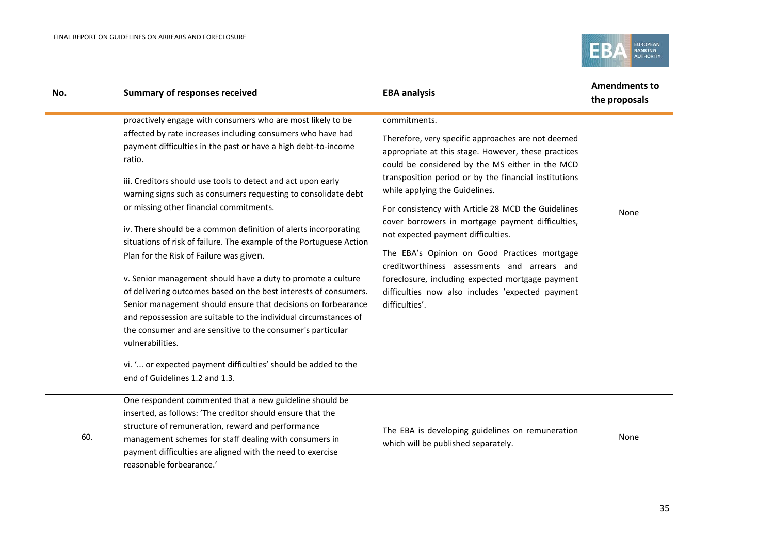

| No. | <b>Summary of responses received</b>                                                                                                                                                                                                                                                                                                                     | <b>EBA analysis</b>                                                                                                                                          | <b>Amendments to</b><br>the proposals |
|-----|----------------------------------------------------------------------------------------------------------------------------------------------------------------------------------------------------------------------------------------------------------------------------------------------------------------------------------------------------------|--------------------------------------------------------------------------------------------------------------------------------------------------------------|---------------------------------------|
|     | proactively engage with consumers who are most likely to be                                                                                                                                                                                                                                                                                              | commitments.                                                                                                                                                 |                                       |
|     | affected by rate increases including consumers who have had<br>payment difficulties in the past or have a high debt-to-income<br>ratio.                                                                                                                                                                                                                  | Therefore, very specific approaches are not deemed<br>appropriate at this stage. However, these practices<br>could be considered by the MS either in the MCD |                                       |
|     | iii. Creditors should use tools to detect and act upon early<br>warning signs such as consumers requesting to consolidate debt                                                                                                                                                                                                                           | transposition period or by the financial institutions<br>while applying the Guidelines.                                                                      |                                       |
|     | or missing other financial commitments.                                                                                                                                                                                                                                                                                                                  | For consistency with Article 28 MCD the Guidelines<br>cover borrowers in mortgage payment difficulties,                                                      | None                                  |
|     | iv. There should be a common definition of alerts incorporating<br>situations of risk of failure. The example of the Portuguese Action                                                                                                                                                                                                                   | not expected payment difficulties.                                                                                                                           |                                       |
|     | Plan for the Risk of Failure was given.                                                                                                                                                                                                                                                                                                                  | The EBA's Opinion on Good Practices mortgage<br>creditworthiness assessments and arrears and                                                                 |                                       |
|     | v. Senior management should have a duty to promote a culture<br>of delivering outcomes based on the best interests of consumers.<br>Senior management should ensure that decisions on forbearance<br>and repossession are suitable to the individual circumstances of<br>the consumer and are sensitive to the consumer's particular<br>vulnerabilities. | foreclosure, including expected mortgage payment<br>difficulties now also includes 'expected payment<br>difficulties'.                                       |                                       |
|     | vi. ' or expected payment difficulties' should be added to the<br>end of Guidelines 1.2 and 1.3.                                                                                                                                                                                                                                                         |                                                                                                                                                              |                                       |
|     | One reconordent commented that a new quideline chould be                                                                                                                                                                                                                                                                                                 |                                                                                                                                                              |                                       |

One respondent commented that a new guideline should be inserted, as follows: 'The creditor should ensure that the structure of remuneration, reward and performance

60. management schemes for staff dealing with consumers in payment difficulties are aligned with the need to exercise reasonable forbearance.'

The EBA is developing guidelines on remuneration which will be published separately.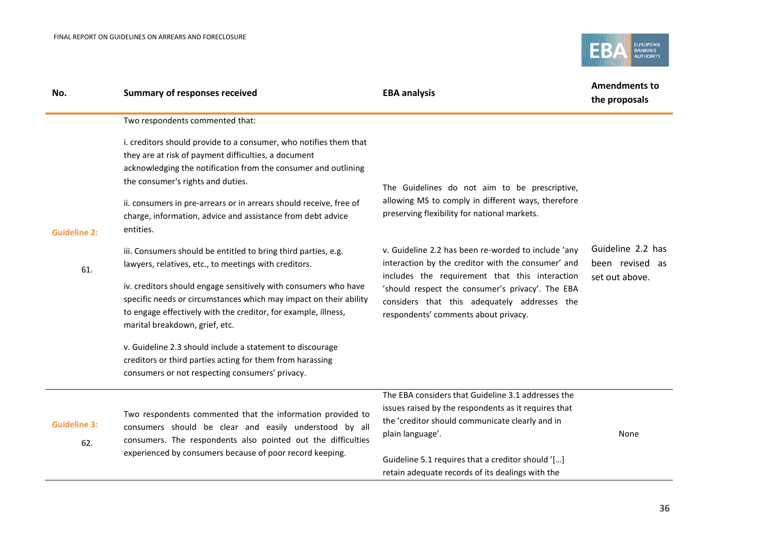

| No.                        | <b>Summary of responses received</b>                                                                                                                                                                                                                                                                                                                                                                                                                                                                                                                                                                                                                                                                                                                                                         | <b>EBA analysis</b>                                                                                                                                                                                                                                                                                                                                                                                                                                            | <b>Amendments to</b><br>the proposals                  |  |
|----------------------------|----------------------------------------------------------------------------------------------------------------------------------------------------------------------------------------------------------------------------------------------------------------------------------------------------------------------------------------------------------------------------------------------------------------------------------------------------------------------------------------------------------------------------------------------------------------------------------------------------------------------------------------------------------------------------------------------------------------------------------------------------------------------------------------------|----------------------------------------------------------------------------------------------------------------------------------------------------------------------------------------------------------------------------------------------------------------------------------------------------------------------------------------------------------------------------------------------------------------------------------------------------------------|--------------------------------------------------------|--|
| <b>Guideline 2:</b><br>61. | Two respondents commented that:<br>i. creditors should provide to a consumer, who notifies them that<br>they are at risk of payment difficulties, a document<br>acknowledging the notification from the consumer and outlining<br>the consumer's rights and duties.<br>ii. consumers in pre-arrears or in arrears should receive, free of<br>charge, information, advice and assistance from debt advice<br>entities.<br>iii. Consumers should be entitled to bring third parties, e.g.<br>lawyers, relatives, etc., to meetings with creditors.<br>iv. creditors should engage sensitively with consumers who have<br>specific needs or circumstances which may impact on their ability<br>to engage effectively with the creditor, for example, illness,<br>marital breakdown, grief, etc. | The Guidelines do not aim to be prescriptive,<br>allowing MS to comply in different ways, therefore<br>preserving flexibility for national markets.<br>v. Guideline 2.2 has been re-worded to include 'any<br>interaction by the creditor with the consumer' and<br>includes the requirement that this interaction<br>'should respect the consumer's privacy'. The EBA<br>considers that this adequately addresses the<br>respondents' comments about privacy. | Guideline 2.2 has<br>been revised as<br>set out above. |  |
|                            | v. Guideline 2.3 should include a statement to discourage<br>creditors or third parties acting for them from harassing<br>consumers or not respecting consumers' privacy.                                                                                                                                                                                                                                                                                                                                                                                                                                                                                                                                                                                                                    |                                                                                                                                                                                                                                                                                                                                                                                                                                                                |                                                        |  |
| <b>Guideline 3:</b><br>62. | Two respondents commented that the information provided to<br>consumers should be clear and easily understood by all<br>consumers. The respondents also pointed out the difficulties<br>experienced by consumers because of poor record keeping.                                                                                                                                                                                                                                                                                                                                                                                                                                                                                                                                             | The EBA considers that Guideline 3.1 addresses the<br>issues raised by the respondents as it requires that<br>the 'creditor should communicate clearly and in<br>plain language'.<br>Guideline 5.1 requires that a creditor should '[]<br>retain adequate records of its dealings with the                                                                                                                                                                     | None                                                   |  |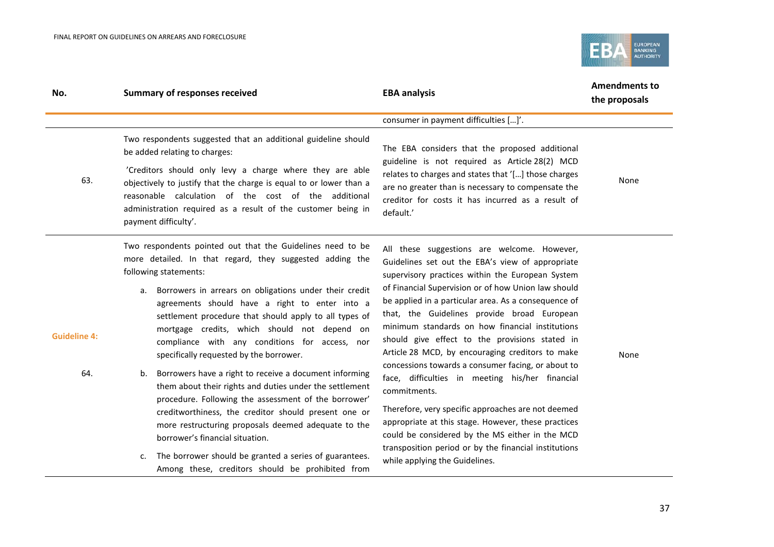

| No.                        | <b>Summary of responses received</b>                                                                                                                                                                                                                                                                                                                                                                                                                                                                                                                                                                                                                                                                                                                                                                                                                                                                                              | <b>EBA analysis</b>                                                                                                                                                                                                                                                                                                                                                                                                                                                                                                                                                                                                                                                                                                                                                                                                                                            | <b>Amendments to</b><br>the proposals |
|----------------------------|-----------------------------------------------------------------------------------------------------------------------------------------------------------------------------------------------------------------------------------------------------------------------------------------------------------------------------------------------------------------------------------------------------------------------------------------------------------------------------------------------------------------------------------------------------------------------------------------------------------------------------------------------------------------------------------------------------------------------------------------------------------------------------------------------------------------------------------------------------------------------------------------------------------------------------------|----------------------------------------------------------------------------------------------------------------------------------------------------------------------------------------------------------------------------------------------------------------------------------------------------------------------------------------------------------------------------------------------------------------------------------------------------------------------------------------------------------------------------------------------------------------------------------------------------------------------------------------------------------------------------------------------------------------------------------------------------------------------------------------------------------------------------------------------------------------|---------------------------------------|
|                            | Two respondents suggested that an additional guideline should                                                                                                                                                                                                                                                                                                                                                                                                                                                                                                                                                                                                                                                                                                                                                                                                                                                                     | consumer in payment difficulties []'.                                                                                                                                                                                                                                                                                                                                                                                                                                                                                                                                                                                                                                                                                                                                                                                                                          |                                       |
|                            | be added relating to charges:                                                                                                                                                                                                                                                                                                                                                                                                                                                                                                                                                                                                                                                                                                                                                                                                                                                                                                     | The EBA considers that the proposed additional<br>guideline is not required as Article 28(2) MCD<br>relates to charges and states that '[] those charges<br>are no greater than is necessary to compensate the<br>creditor for costs it has incurred as a result of<br>default.'                                                                                                                                                                                                                                                                                                                                                                                                                                                                                                                                                                               |                                       |
| 63.                        | 'Creditors should only levy a charge where they are able<br>objectively to justify that the charge is equal to or lower than a<br>reasonable calculation of the cost of the additional<br>administration required as a result of the customer being in<br>payment difficulty'.                                                                                                                                                                                                                                                                                                                                                                                                                                                                                                                                                                                                                                                    |                                                                                                                                                                                                                                                                                                                                                                                                                                                                                                                                                                                                                                                                                                                                                                                                                                                                | None                                  |
| <b>Guideline 4:</b><br>64. | Two respondents pointed out that the Guidelines need to be<br>more detailed. In that regard, they suggested adding the<br>following statements:<br>Borrowers in arrears on obligations under their credit<br>a.<br>agreements should have a right to enter into a<br>settlement procedure that should apply to all types of<br>mortgage credits, which should not depend on<br>compliance with any conditions for access, nor<br>specifically requested by the borrower.<br>Borrowers have a right to receive a document informing<br>b.<br>them about their rights and duties under the settlement<br>procedure. Following the assessment of the borrower'<br>creditworthiness, the creditor should present one or<br>more restructuring proposals deemed adequate to the<br>borrower's financial situation.<br>The borrower should be granted a series of guarantees.<br>c.<br>Among these, creditors should be prohibited from | All these suggestions are welcome. However,<br>Guidelines set out the EBA's view of appropriate<br>supervisory practices within the European System<br>of Financial Supervision or of how Union law should<br>be applied in a particular area. As a consequence of<br>that, the Guidelines provide broad European<br>minimum standards on how financial institutions<br>should give effect to the provisions stated in<br>Article 28 MCD, by encouraging creditors to make<br>concessions towards a consumer facing, or about to<br>face, difficulties in meeting his/her financial<br>commitments.<br>Therefore, very specific approaches are not deemed<br>appropriate at this stage. However, these practices<br>could be considered by the MS either in the MCD<br>transposition period or by the financial institutions<br>while applying the Guidelines. | None                                  |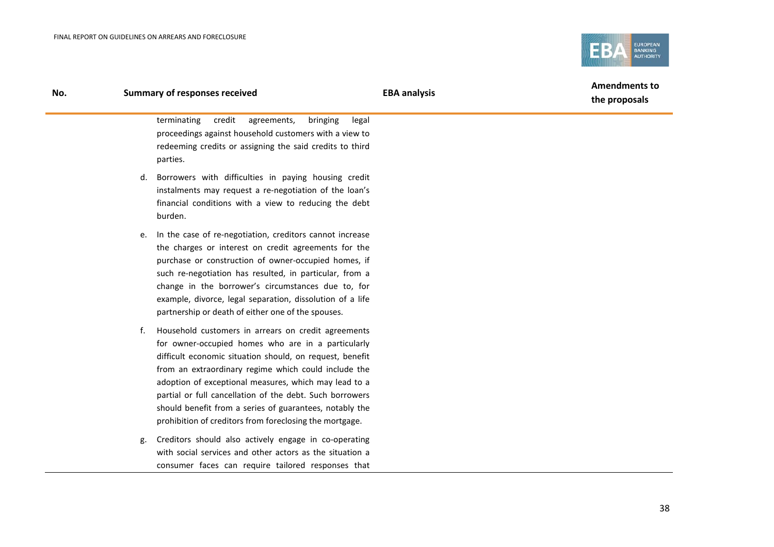

#### **No. Summary of responses received EBA analysis**

**Amendments to the proposals**

terminating credit agreements, bringing legal proceedings against household customers with a view to redeeming credits or assigning the said credits to third parties.

- d. Borrowers with difficulties in paying housing credit instalments may request a re-negotiation of the loan's financial conditions with a view to reducing the debt burden.
- e. In the case of re-negotiation, creditors cannot increase the charges or interest on credit agreements for the purchase or construction of owner-occupied homes, if such re-negotiation has resulted, in particular, from a change in the borrower's circumstances due to, for example, divorce, legal separation, dissolution of a life partnership or death of either one of the spouses.
- f. Household customers in arrears on credit agreements for owner-occupied homes who are in a particularly difficult economic situation should, on request, benefit from an extraordinary regime which could include the adoption of exceptional measures, which may lead to a partial or full cancellation of the debt. Such borrowers should benefit from a series of guarantees, notably the prohibition of creditors from foreclosing the mortgage.
- g. Creditors should also actively engage in co-operating with social services and other actors as the situation a consumer faces can require tailored responses that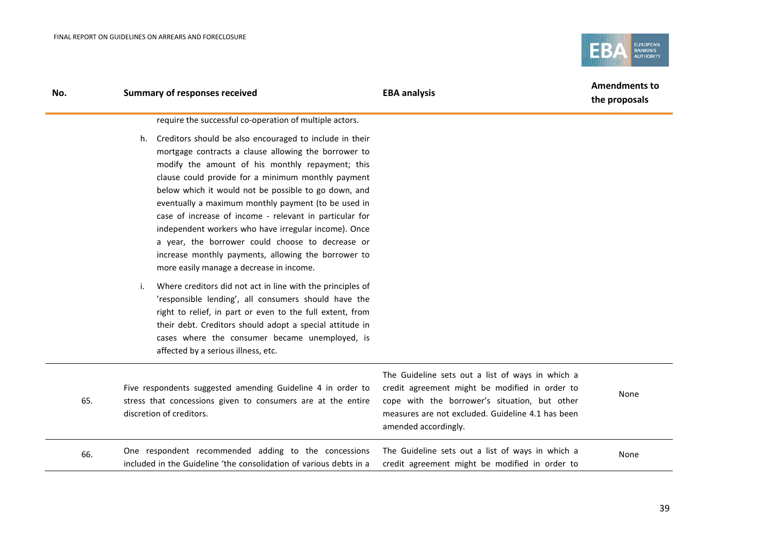

| No. | <b>Summary of responses received</b>                                                                                                                                                                                                                                                                                                                                                                                                                                                                                                                                                                                                                                             | <b>EBA analysis</b>                                                                                                                                                                                                              | <b>Amendments to</b><br>the proposals |  |
|-----|----------------------------------------------------------------------------------------------------------------------------------------------------------------------------------------------------------------------------------------------------------------------------------------------------------------------------------------------------------------------------------------------------------------------------------------------------------------------------------------------------------------------------------------------------------------------------------------------------------------------------------------------------------------------------------|----------------------------------------------------------------------------------------------------------------------------------------------------------------------------------------------------------------------------------|---------------------------------------|--|
|     | require the successful co-operation of multiple actors.<br>h. Creditors should be also encouraged to include in their<br>mortgage contracts a clause allowing the borrower to<br>modify the amount of his monthly repayment; this<br>clause could provide for a minimum monthly payment<br>below which it would not be possible to go down, and<br>eventually a maximum monthly payment (to be used in<br>case of increase of income - relevant in particular for<br>independent workers who have irregular income). Once<br>a year, the borrower could choose to decrease or<br>increase monthly payments, allowing the borrower to<br>more easily manage a decrease in income. |                                                                                                                                                                                                                                  |                                       |  |
|     | Where creditors did not act in line with the principles of<br>i.<br>'responsible lending', all consumers should have the<br>right to relief, in part or even to the full extent, from<br>their debt. Creditors should adopt a special attitude in<br>cases where the consumer became unemployed, is<br>affected by a serious illness, etc.                                                                                                                                                                                                                                                                                                                                       |                                                                                                                                                                                                                                  |                                       |  |
| 65. | Five respondents suggested amending Guideline 4 in order to<br>stress that concessions given to consumers are at the entire<br>discretion of creditors.                                                                                                                                                                                                                                                                                                                                                                                                                                                                                                                          | The Guideline sets out a list of ways in which a<br>credit agreement might be modified in order to<br>cope with the borrower's situation, but other<br>measures are not excluded. Guideline 4.1 has been<br>amended accordingly. | None                                  |  |
| 66. | One respondent recommended adding to the concessions<br>included in the Guideline 'the consolidation of various debts in a                                                                                                                                                                                                                                                                                                                                                                                                                                                                                                                                                       | The Guideline sets out a list of ways in which a<br>credit agreement might be modified in order to                                                                                                                               | None                                  |  |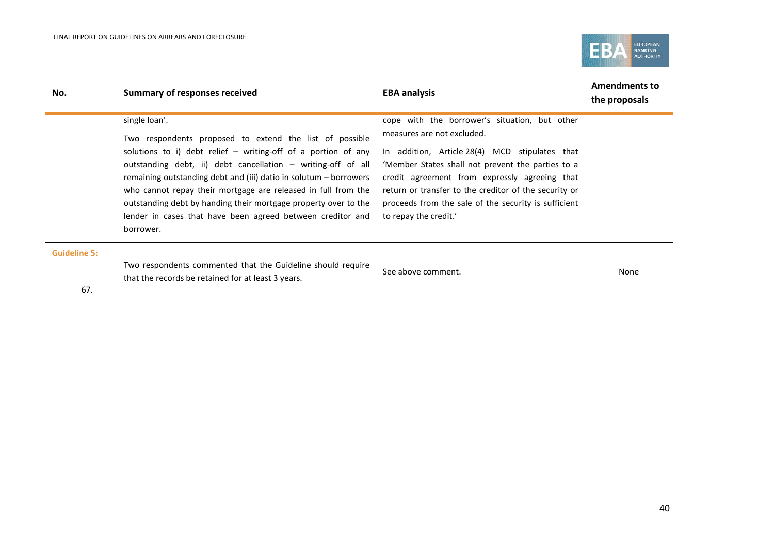

| No.                 | <b>Summary of responses received</b>                                                                                                                                                                 | <b>EBA analysis</b>                                                                                                                                  | <b>Amendments to</b><br>the proposals |
|---------------------|------------------------------------------------------------------------------------------------------------------------------------------------------------------------------------------------------|------------------------------------------------------------------------------------------------------------------------------------------------------|---------------------------------------|
|                     | single loan'.<br>Two respondents proposed to extend the list of possible                                                                                                                             | cope with the borrower's situation, but other<br>measures are not excluded.                                                                          |                                       |
|                     | solutions to i) debt relief $-$ writing-off of a portion of any<br>outstanding debt, ii) debt cancellation – writing-off of all<br>remaining outstanding debt and (iii) datio in solutum – borrowers | In addition, Article 28(4) MCD stipulates that<br>'Member States shall not prevent the parties to a<br>credit agreement from expressly agreeing that |                                       |
|                     | who cannot repay their mortgage are released in full from the<br>outstanding debt by handing their mortgage property over to the                                                                     | return or transfer to the creditor of the security or<br>proceeds from the sale of the security is sufficient                                        |                                       |
|                     | lender in cases that have been agreed between creditor and<br>borrower.                                                                                                                              | to repay the credit.'                                                                                                                                |                                       |
| <b>Guideline 5:</b> |                                                                                                                                                                                                      |                                                                                                                                                      |                                       |
|                     | Two respondents commented that the Guideline should require<br>that the records be retained for at least 3 years.                                                                                    | See above comment.                                                                                                                                   | None                                  |
| 67.                 |                                                                                                                                                                                                      |                                                                                                                                                      |                                       |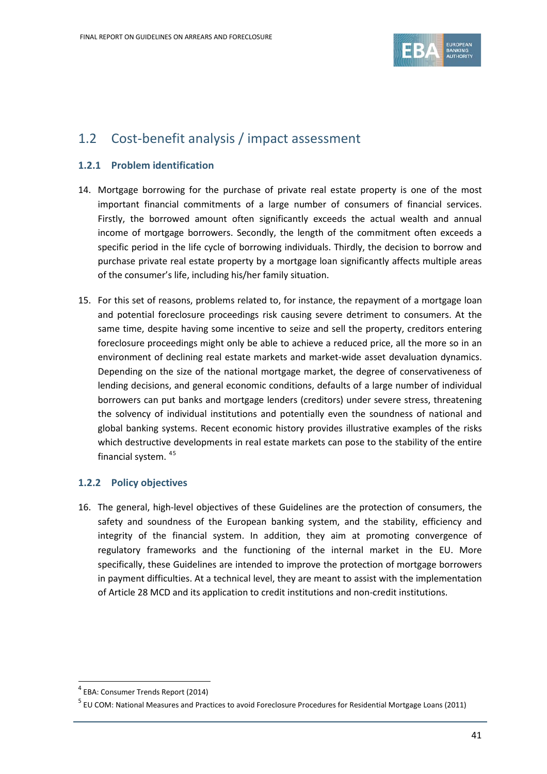

### 1.2 Cost-benefit analysis / impact assessment

#### **1.2.1 Problem identification**

- 14. Mortgage borrowing for the purchase of private real estate property is one of the most important financial commitments of a large number of consumers of financial services. Firstly, the borrowed amount often significantly exceeds the actual wealth and annual income of mortgage borrowers. Secondly, the length of the commitment often exceeds a specific period in the life cycle of borrowing individuals. Thirdly, the decision to borrow and purchase private real estate property by a mortgage loan significantly affects multiple areas of the consumer's life, including his/her family situation.
- 15. For this set of reasons, problems related to, for instance, the repayment of a mortgage loan and potential foreclosure proceedings risk causing severe detriment to consumers. At the same time, despite having some incentive to seize and sell the property, creditors entering foreclosure proceedings might only be able to achieve a reduced price, all the more so in an environment of declining real estate markets and market-wide asset devaluation dynamics. Depending on the size of the national mortgage market, the degree of conservativeness of lending decisions, and general economic conditions, defaults of a large number of individual borrowers can put banks and mortgage lenders (creditors) under severe stress, threatening the solvency of individual institutions and potentially even the soundness of national and global banking systems. Recent economic history provides illustrative examples of the risks which destructive developments in real estate markets can pose to the stability of the entire financial system. [4](#page-40-0)[5](#page-40-1)

#### **1.2.2 Policy objectives**

16. The general, high-level objectives of these Guidelines are the protection of consumers, the safety and soundness of the European banking system, and the stability, efficiency and integrity of the financial system. In addition, they aim at promoting convergence of regulatory frameworks and the functioning of the internal market in the EU. More specifically, these Guidelines are intended to improve the protection of mortgage borrowers in payment difficulties. At a technical level, they are meant to assist with the implementation of Article 28 MCD and its application to credit institutions and non-credit institutions.

 $\overline{a}$ 

<span id="page-40-0"></span><sup>4</sup> EBA: Consumer Trends Report (2014)

<span id="page-40-1"></span><sup>&</sup>lt;sup>5</sup> EU COM: National Measures and Practices to avoid Foreclosure Procedures for Residential Mortgage Loans (2011)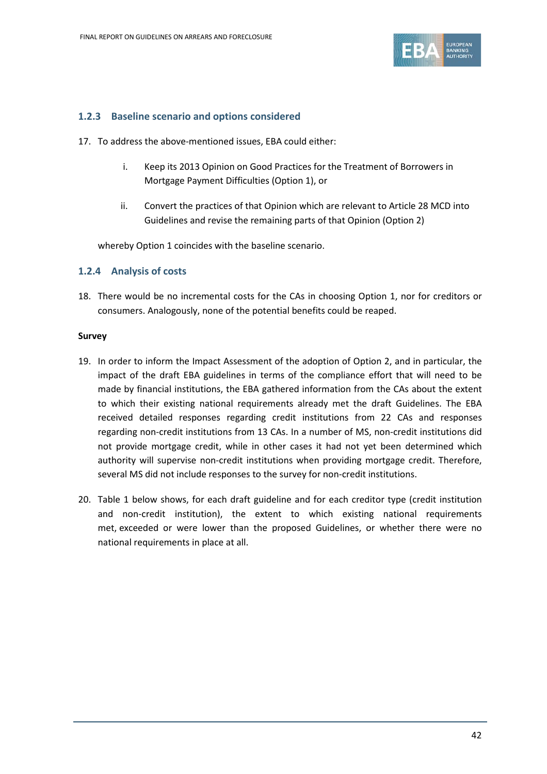

#### **1.2.3 Baseline scenario and options considered**

- 17. To address the above-mentioned issues, EBA could either:
	- i. Keep its 2013 Opinion on Good Practices for the Treatment of Borrowers in Mortgage Payment Difficulties (Option 1), or
	- ii. Convert the practices of that Opinion which are relevant to Article 28 MCD into Guidelines and revise the remaining parts of that Opinion (Option 2)

whereby Option 1 coincides with the baseline scenario.

#### **1.2.4 Analysis of costs**

18. There would be no incremental costs for the CAs in choosing Option 1, nor for creditors or consumers. Analogously, none of the potential benefits could be reaped.

#### **Survey**

- 19. In order to inform the Impact Assessment of the adoption of Option 2, and in particular, the impact of the draft EBA guidelines in terms of the compliance effort that will need to be made by financial institutions, the EBA gathered information from the CAs about the extent to which their existing national requirements already met the draft Guidelines. The EBA received detailed responses regarding credit institutions from 22 CAs and responses regarding non-credit institutions from 13 CAs. In a number of MS, non-credit institutions did not provide mortgage credit, while in other cases it had not yet been determined which authority will supervise non-credit institutions when providing mortgage credit. Therefore, several MS did not include responses to the survey for non-credit institutions.
- 20. Table 1 below shows, for each draft guideline and for each creditor type (credit institution and non-credit institution), the extent to which existing national requirements met, exceeded or were lower than the proposed Guidelines, or whether there were no national requirements in place at all.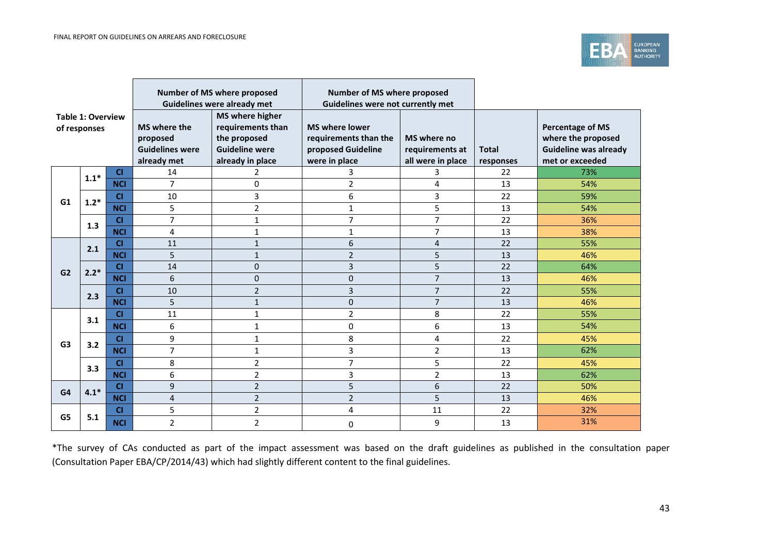

| <b>Table 1: Overview</b><br>of responses |        |            | Number of MS where proposed<br>Guidelines were already met        |                                                                                                          | Number of MS where proposed<br>Guidelines were not currently met                      |                                                     |                           |                                                                                                  |
|------------------------------------------|--------|------------|-------------------------------------------------------------------|----------------------------------------------------------------------------------------------------------|---------------------------------------------------------------------------------------|-----------------------------------------------------|---------------------------|--------------------------------------------------------------------------------------------------|
|                                          |        |            | MS where the<br>proposed<br><b>Guidelines were</b><br>already met | <b>MS</b> where higher<br>requirements than<br>the proposed<br><b>Guideline were</b><br>already in place | <b>MS where lower</b><br>requirements than the<br>proposed Guideline<br>were in place | MS where no<br>requirements at<br>all were in place | <b>Total</b><br>responses | <b>Percentage of MS</b><br>where the proposed<br><b>Guideline was already</b><br>met or exceeded |
|                                          | $1.1*$ | <b>CI</b>  | 14                                                                | 2                                                                                                        | 3                                                                                     | 3.                                                  | 22                        | 73%                                                                                              |
|                                          |        | <b>NCI</b> | $\overline{7}$                                                    | 0                                                                                                        | $\overline{2}$                                                                        | 4                                                   | 13                        | 54%                                                                                              |
| G1                                       | $1.2*$ | <b>CI</b>  | 10                                                                | 3                                                                                                        | 6                                                                                     | 3                                                   | 22                        | 59%                                                                                              |
|                                          |        | <b>NCI</b> | 5                                                                 | 2                                                                                                        | 1                                                                                     | 5                                                   | 13                        | 54%                                                                                              |
|                                          | 1.3    | CI         | $\overline{7}$                                                    | 1                                                                                                        | 7                                                                                     | $\overline{7}$                                      | 22                        | 36%                                                                                              |
|                                          |        | <b>NCI</b> | 4                                                                 | $\mathbf{1}$                                                                                             | 1                                                                                     | $\overline{7}$                                      | 13                        | 38%                                                                                              |
|                                          | 2.1    | C1         | 11                                                                | $\mathbf{1}$                                                                                             | 6                                                                                     | 4                                                   | 22                        | 55%                                                                                              |
|                                          |        | <b>NCI</b> | 5                                                                 | $\mathbf{1}$                                                                                             | $\overline{2}$                                                                        | 5                                                   | 13                        | 46%                                                                                              |
| G2                                       | $2.2*$ | C1         | 14                                                                | $\pmb{0}$                                                                                                | 3                                                                                     | 5                                                   | 22                        | 64%                                                                                              |
|                                          |        | <b>NCI</b> | 6                                                                 | $\mathbf{0}$                                                                                             | 0                                                                                     | $\overline{7}$                                      | 13                        | 46%                                                                                              |
|                                          | 2.3    | CI         | 10                                                                | $\overline{2}$                                                                                           | 3                                                                                     | $\overline{7}$                                      | 22                        | 55%                                                                                              |
|                                          |        | <b>NCI</b> | 5                                                                 | $\mathbf{1}$                                                                                             | 0                                                                                     | $\overline{7}$                                      | 13                        | 46%                                                                                              |
|                                          | 3.1    | C1         | 11                                                                | 1                                                                                                        | $\overline{2}$                                                                        | 8                                                   | 22                        | 55%                                                                                              |
|                                          |        | <b>NCI</b> | 6                                                                 | $\mathbf{1}$                                                                                             | 0                                                                                     | 6                                                   | 13                        | 54%                                                                                              |
| G <sub>3</sub>                           |        | <b>CI</b>  | 9                                                                 | $\mathbf 1$                                                                                              | 8                                                                                     | 4                                                   | 22                        | 45%                                                                                              |
|                                          | 3.2    | <b>NCI</b> | $\overline{7}$                                                    | 1                                                                                                        | 3                                                                                     | $\overline{2}$                                      | 13                        | 62%                                                                                              |
|                                          |        | <b>CI</b>  | 8                                                                 | $\overline{2}$                                                                                           | 7                                                                                     | 5                                                   | 22                        | 45%                                                                                              |
|                                          | 3.3    | <b>NCI</b> | 6                                                                 | $\overline{2}$                                                                                           | 3                                                                                     | $\overline{2}$                                      | 13                        | 62%                                                                                              |
| G4                                       | $4.1*$ | CI         | 9                                                                 | $\overline{2}$                                                                                           | 5                                                                                     | 6                                                   | 22                        | 50%                                                                                              |
|                                          |        | <b>NCI</b> | $\overline{4}$                                                    | $\overline{2}$                                                                                           | $\overline{2}$                                                                        | 5                                                   | 13                        | 46%                                                                                              |
|                                          |        | <b>CI</b>  | 5                                                                 | $\overline{2}$                                                                                           | 4                                                                                     | 11                                                  | 22                        | 32%                                                                                              |
| G5                                       | 5.1    | <b>NCI</b> | $\overline{2}$                                                    | 2                                                                                                        | 0                                                                                     | 9                                                   | 13                        | 31%                                                                                              |

<u> 1989 - Johann Stoff, deutscher Stoff, deutscher Stoff, der Stoff, der Stoff, der Stoff, der Stoff, der Stoff</u>

\*The survey of CAs conducted as part of the impact assessment was based on the draft guidelines as published in the consultation paper (Consultation Paper EBA/CP/2014/43) which had slightly different content to the final guidelines.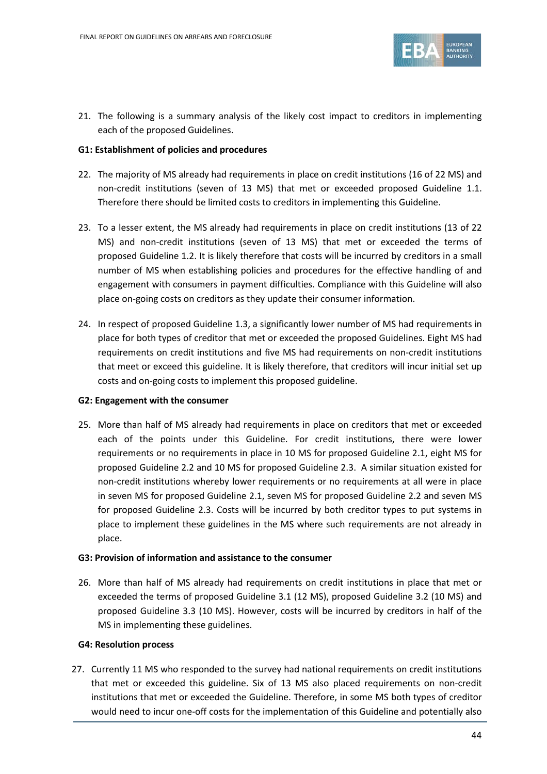

21. The following is a summary analysis of the likely cost impact to creditors in implementing each of the proposed Guidelines.

#### **G1: Establishment of policies and procedures**

- 22. The majority of MS already had requirements in place on credit institutions (16 of 22 MS) and non-credit institutions (seven of 13 MS) that met or exceeded proposed Guideline 1.1. Therefore there should be limited costs to creditors in implementing this Guideline.
- 23. To a lesser extent, the MS already had requirements in place on credit institutions (13 of 22 MS) and non-credit institutions (seven of 13 MS) that met or exceeded the terms of proposed Guideline 1.2. It is likely therefore that costs will be incurred by creditors in a small number of MS when establishing policies and procedures for the effective handling of and engagement with consumers in payment difficulties. Compliance with this Guideline will also place on-going costs on creditors as they update their consumer information.
- 24. In respect of proposed Guideline 1.3, a significantly lower number of MS had requirements in place for both types of creditor that met or exceeded the proposed Guidelines. Eight MS had requirements on credit institutions and five MS had requirements on non-credit institutions that meet or exceed this guideline. It is likely therefore, that creditors will incur initial set up costs and on-going costs to implement this proposed guideline.

#### **G2: Engagement with the consumer**

25. More than half of MS already had requirements in place on creditors that met or exceeded each of the points under this Guideline. For credit institutions, there were lower requirements or no requirements in place in 10 MS for proposed Guideline 2.1, eight MS for proposed Guideline 2.2 and 10 MS for proposed Guideline 2.3. A similar situation existed for non-credit institutions whereby lower requirements or no requirements at all were in place in seven MS for proposed Guideline 2.1, seven MS for proposed Guideline 2.2 and seven MS for proposed Guideline 2.3. Costs will be incurred by both creditor types to put systems in place to implement these guidelines in the MS where such requirements are not already in place.

#### **G3: Provision of information and assistance to the consumer**

26. More than half of MS already had requirements on credit institutions in place that met or exceeded the terms of proposed Guideline 3.1 (12 MS), proposed Guideline 3.2 (10 MS) and proposed Guideline 3.3 (10 MS). However, costs will be incurred by creditors in half of the MS in implementing these guidelines.

#### **G4: Resolution process**

27. Currently 11 MS who responded to the survey had national requirements on credit institutions that met or exceeded this guideline. Six of 13 MS also placed requirements on non-credit institutions that met or exceeded the Guideline. Therefore, in some MS both types of creditor would need to incur one-off costs for the implementation of this Guideline and potentially also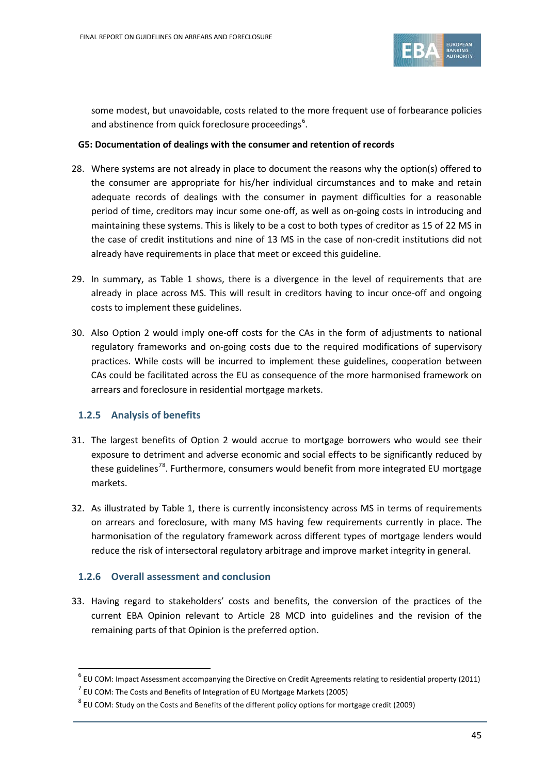

some modest, but unavoidable, costs related to the more frequent use of forbearance policies and abstinence from quick foreclosure proceedings<sup>[6](#page-44-0)</sup>.

#### **G5: Documentation of dealings with the consumer and retention of records**

- 28. Where systems are not already in place to document the reasons why the option(s) offered to the consumer are appropriate for his/her individual circumstances and to make and retain adequate records of dealings with the consumer in payment difficulties for a reasonable period of time, creditors may incur some one-off, as well as on-going costs in introducing and maintaining these systems. This is likely to be a cost to both types of creditor as 15 of 22 MS in the case of credit institutions and nine of 13 MS in the case of non-credit institutions did not already have requirements in place that meet or exceed this guideline.
- 29. In summary, as Table 1 shows, there is a divergence in the level of requirements that are already in place across MS. This will result in creditors having to incur once-off and ongoing costs to implement these guidelines.
- 30. Also Option 2 would imply one-off costs for the CAs in the form of adjustments to national regulatory frameworks and on-going costs due to the required modifications of supervisory practices. While costs will be incurred to implement these guidelines, cooperation between CAs could be facilitated across the EU as consequence of the more harmonised framework on arrears and foreclosure in residential mortgage markets.

#### **1.2.5 Analysis of benefits**

 $\overline{a}$ 

- 31. The largest benefits of Option 2 would accrue to mortgage borrowers who would see their exposure to detriment and adverse economic and social effects to be significantly reduced by these guidelines<sup>[7](#page-44-1)[8](#page-44-2)</sup>. Furthermore, consumers would benefit from more integrated EU mortgage markets.
- 32. As illustrated by Table 1, there is currently inconsistency across MS in terms of requirements on arrears and foreclosure, with many MS having few requirements currently in place. The harmonisation of the regulatory framework across different types of mortgage lenders would reduce the risk of intersectoral regulatory arbitrage and improve market integrity in general.

#### **1.2.6 Overall assessment and conclusion**

33. Having regard to stakeholders' costs and benefits, the conversion of the practices of the current EBA Opinion relevant to Article 28 MCD into guidelines and the revision of the remaining parts of that Opinion is the preferred option.

<span id="page-44-0"></span> $6$  EU COM: Impact Assessment accompanying the Directive on Credit Agreements relating to residential property (2011)

 $<sup>7</sup>$  EU COM: The Costs and Benefits of Integration of EU Mortgage Markets (2005)</sup>

<span id="page-44-2"></span><span id="page-44-1"></span> $8$  EU COM: Study on the Costs and Benefits of the different policy options for mortgage credit (2009)